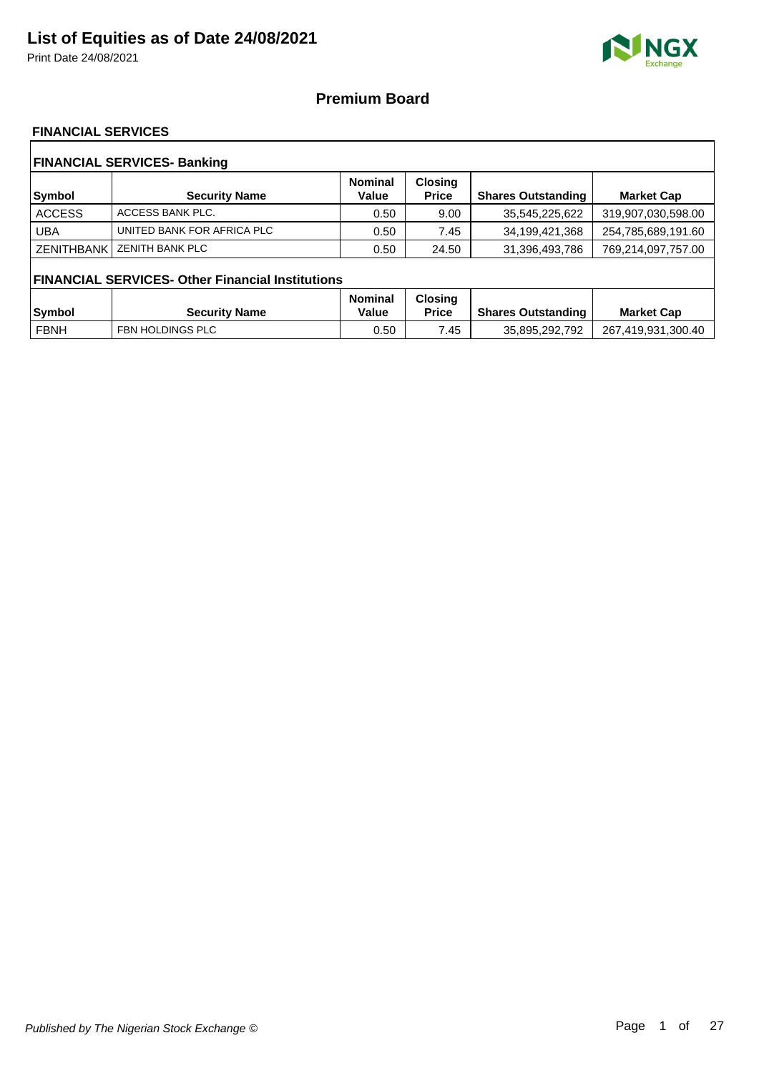Print Date 24/08/2021



### **Premium Board**

### **FINANCIAL SERVICES**

| <b>FINANCIAL SERVICES- Banking</b> |                                                         |                         |                                |                           |                    |  |  |
|------------------------------------|---------------------------------------------------------|-------------------------|--------------------------------|---------------------------|--------------------|--|--|
| Symbol                             | <b>Security Name</b>                                    | <b>Nominal</b><br>Value | <b>Closing</b><br><b>Price</b> | <b>Shares Outstanding</b> | <b>Market Cap</b>  |  |  |
| <b>ACCESS</b>                      | ACCESS BANK PLC.                                        | 0.50                    | 9.00                           | 35,545,225,622            | 319,907,030,598.00 |  |  |
| <b>UBA</b>                         | UNITED BANK FOR AFRICA PLC                              | 0.50                    | 7.45                           | 34,199,421,368            | 254,785,689,191.60 |  |  |
| <b>ZENITHBANK</b>                  | <b>ZENITH BANK PLC</b>                                  | 0.50                    | 24.50                          | 31,396,493,786            | 769,214,097,757.00 |  |  |
|                                    | <b>FINANCIAL SERVICES- Other Financial Institutions</b> |                         |                                |                           |                    |  |  |
|                                    |                                                         | <b>Nominal</b>          | <b>Closing</b>                 |                           |                    |  |  |
| Symbol                             | <b>Security Name</b>                                    | Value                   | <b>Price</b>                   | <b>Shares Outstanding</b> | <b>Market Cap</b>  |  |  |
| <b>FBNH</b>                        | FBN HOLDINGS PLC                                        | 0.50                    | 7.45                           | 35,895,292,792            | 267,419,931,300.40 |  |  |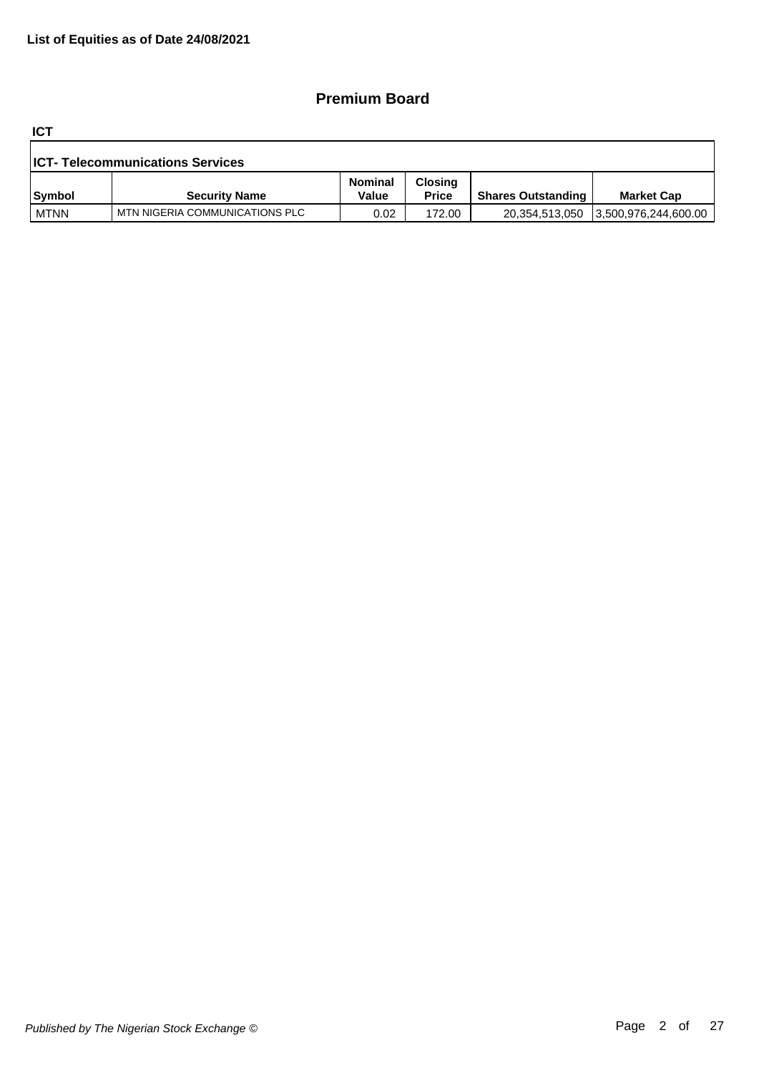## **Premium Board**

**ICT**

| <b>ICT- Telecommunications Services</b> |                                |                         |                                |                           |                      |  |  |
|-----------------------------------------|--------------------------------|-------------------------|--------------------------------|---------------------------|----------------------|--|--|
| Symbol                                  | <b>Security Name</b>           | <b>Nominal</b><br>Value | <b>Closing</b><br><b>Price</b> | <b>Shares Outstanding</b> | <b>Market Cap</b>    |  |  |
| <b>MTNN</b>                             | MTN NIGERIA COMMUNICATIONS PLC | 0.02                    | 172.00                         | 20,354,513,050            | 3,500,976,244,600.00 |  |  |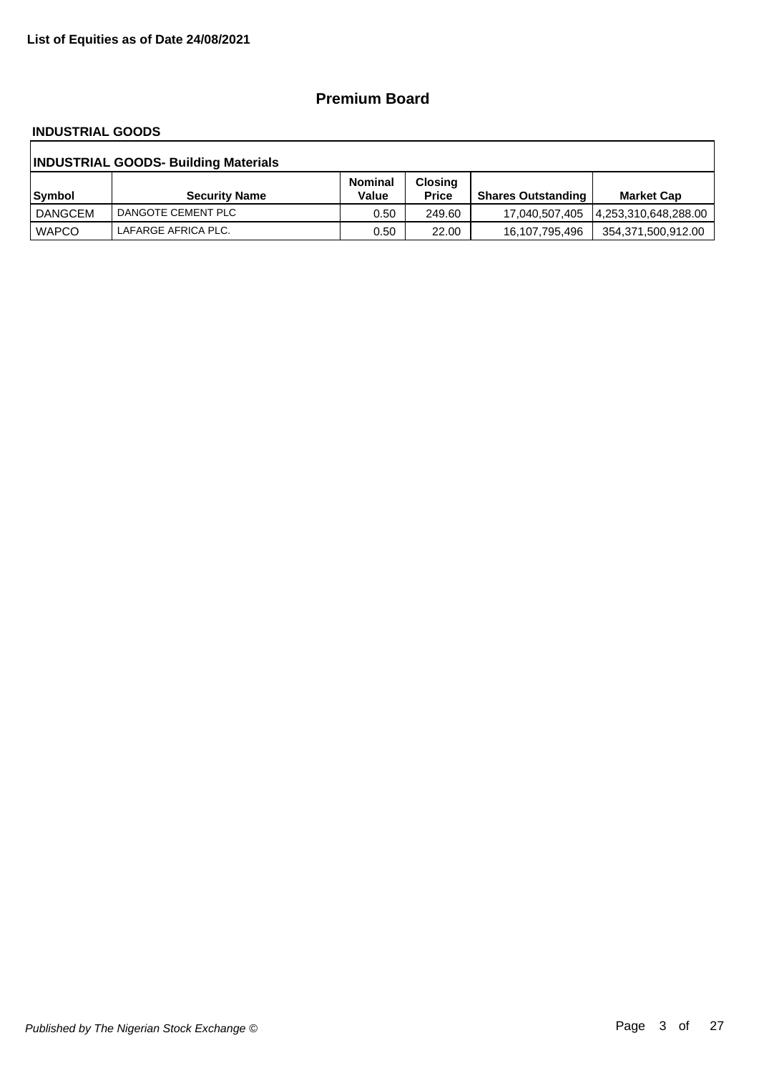### **Premium Board**

#### **INDUSTRIAL GOODS**

| <b>INDUSTRIAL GOODS- Building Materials</b> |                      |                         |                                |                           |                    |  |  |
|---------------------------------------------|----------------------|-------------------------|--------------------------------|---------------------------|--------------------|--|--|
| Symbol                                      | <b>Security Name</b> | <b>Nominal</b><br>Value | <b>Closing</b><br><b>Price</b> | <b>Shares Outstanding</b> | <b>Market Cap</b>  |  |  |
| DANGCEM                                     | DANGOTE CEMENT PLC   | 0.50                    | 249.60                         |                           |                    |  |  |
| <b>WAPCO</b>                                | LAFARGE AFRICA PLC.  | 0.50                    | 22.00                          | 16,107,795,496            | 354,371,500,912.00 |  |  |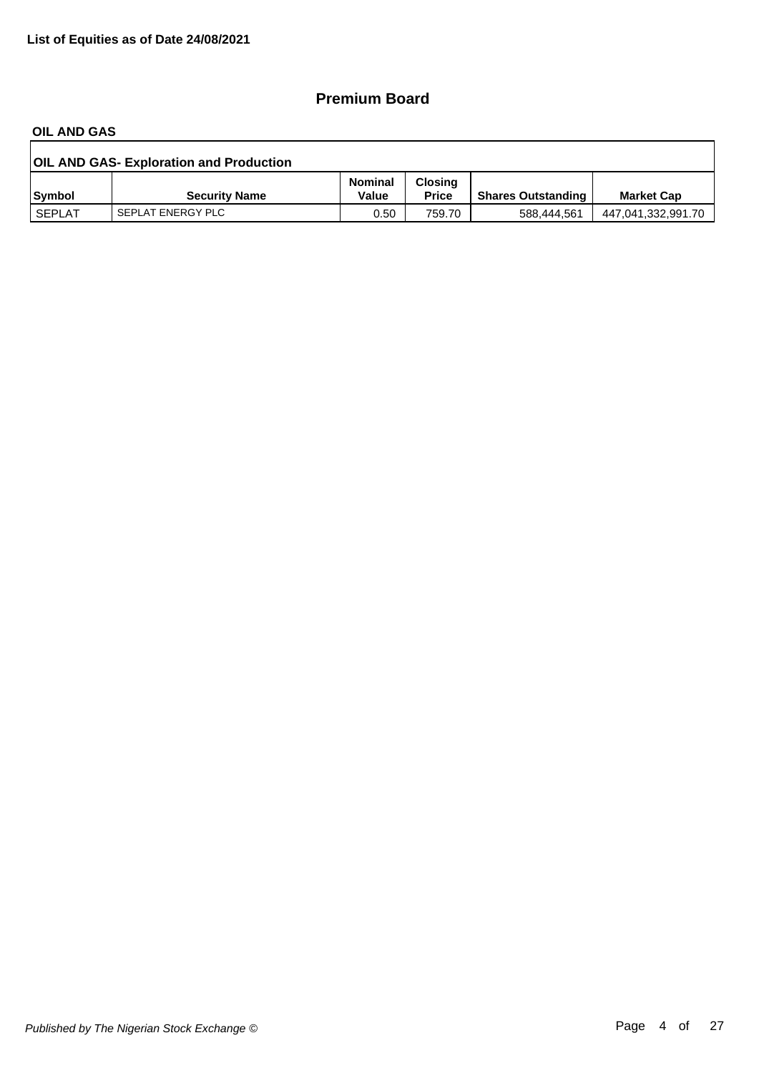## **Premium Board**

#### **OIL AND GAS**

| <b>OIL AND GAS- Exploration and Production</b> |                      |                         |                                |                           |                    |  |  |
|------------------------------------------------|----------------------|-------------------------|--------------------------------|---------------------------|--------------------|--|--|
| Symbol                                         | <b>Security Name</b> | <b>Nominal</b><br>Value | <b>Closing</b><br><b>Price</b> | <b>Shares Outstanding</b> | <b>Market Cap</b>  |  |  |
| SEPLAT                                         | SEPLAT ENERGY PLC    | 0.50                    | 759.70                         | 588.444.561               | 447,041,332,991.70 |  |  |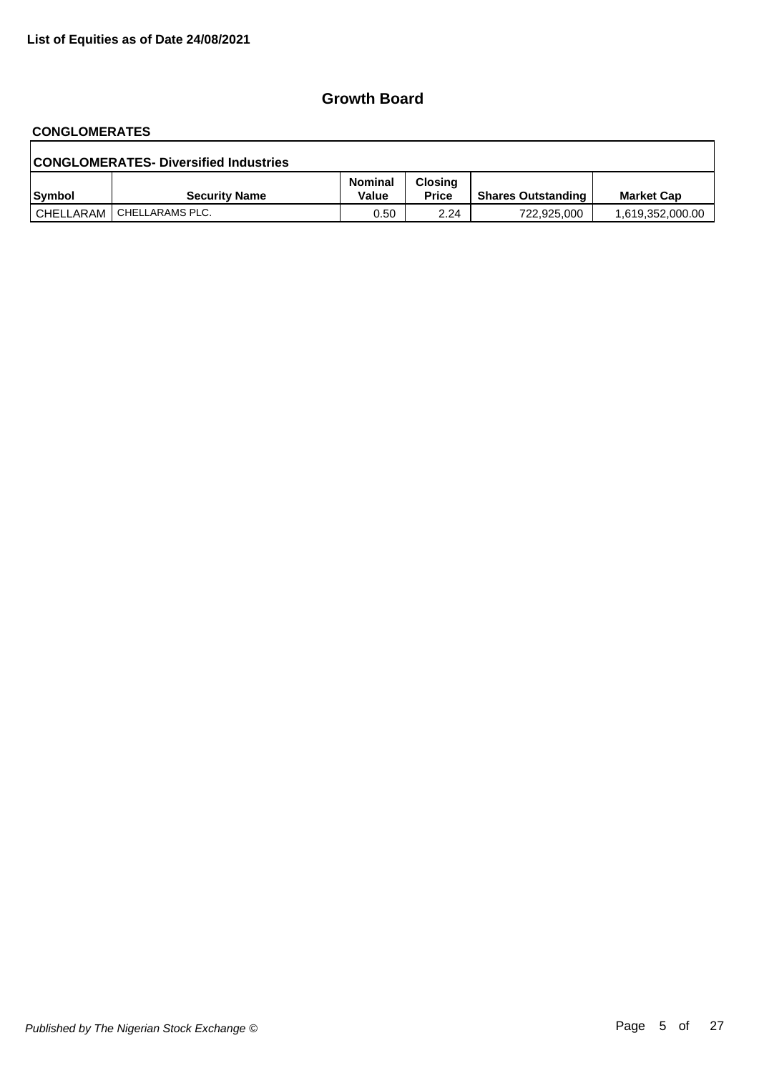# **CONGLOMERATES**

| <b>CONGLOMERATES- Diversified Industries</b> |                             |                  |                         |                           |                   |  |  |  |
|----------------------------------------------|-----------------------------|------------------|-------------------------|---------------------------|-------------------|--|--|--|
| <b>Symbol</b>                                | <b>Security Name</b>        | Nominal<br>Value | Closina<br><b>Price</b> | <b>Shares Outstanding</b> | <b>Market Cap</b> |  |  |  |
|                                              | CHELLARAM   CHELLARAMS PLC. | 0.50             | 2.24                    | 722.925.000               | 1,619,352,000.00  |  |  |  |

٦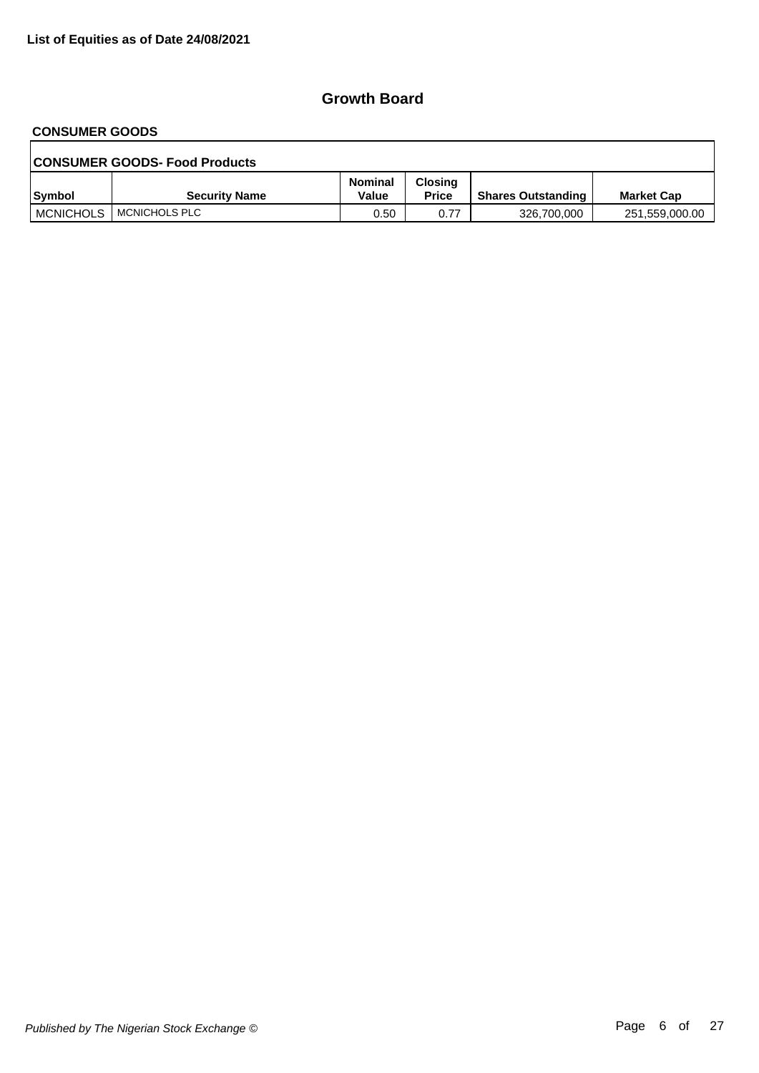#### **CONSUMER GOODS**

| <b>CONSUMER GOODS- Food Products</b> |                      |                         |                                |                           |                   |  |  |  |
|--------------------------------------|----------------------|-------------------------|--------------------------------|---------------------------|-------------------|--|--|--|
| Symbol                               | <b>Security Name</b> | <b>Nominal</b><br>Value | <b>Closing</b><br><b>Price</b> | <b>Shares Outstanding</b> | <b>Market Cap</b> |  |  |  |
| <b>MCNICHOLS</b>                     | ! MCNICHOLS PLC      | 0.50                    | 0.77                           | 326,700,000               | 251,559,000.00    |  |  |  |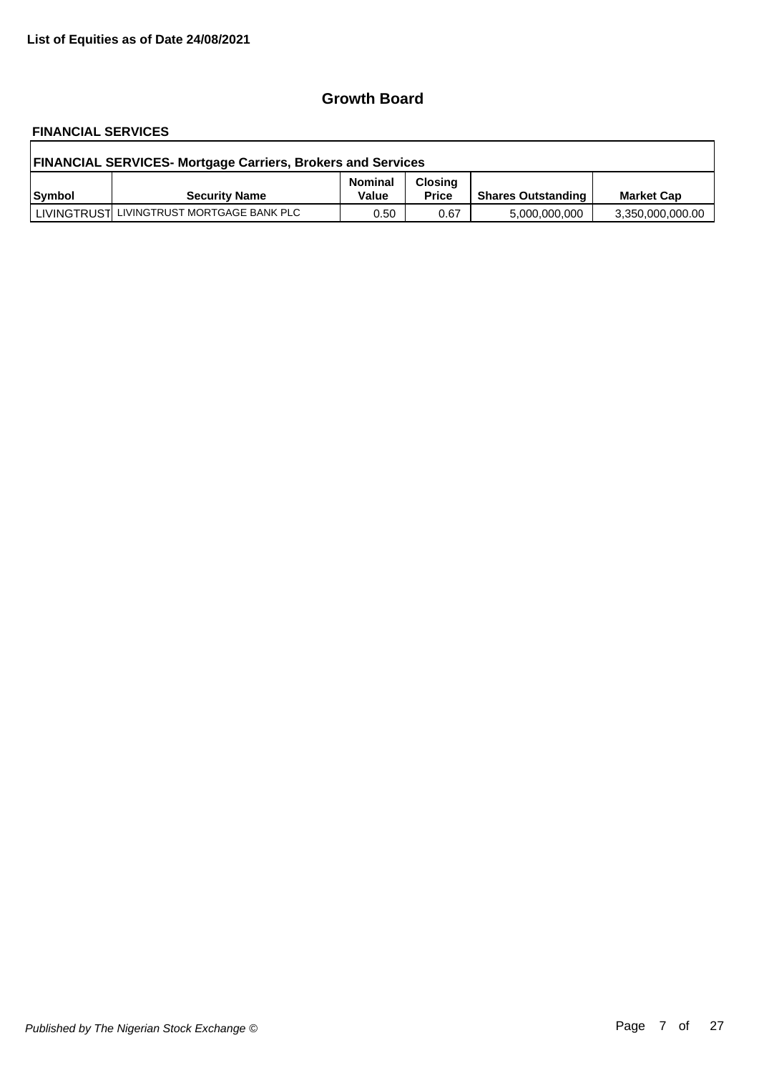# **FINANCIAL SERVICES**

| <b>FINANCIAL SERVICES- Mortgage Carriers, Brokers and Services</b> |                                           |                         |                                |                           |                   |  |  |
|--------------------------------------------------------------------|-------------------------------------------|-------------------------|--------------------------------|---------------------------|-------------------|--|--|
| Symbol                                                             | <b>Security Name</b>                      | <b>Nominal</b><br>Value | <b>Closing</b><br><b>Price</b> | <b>Shares Outstanding</b> | <b>Market Cap</b> |  |  |
|                                                                    | LIVINGTRUST LIVINGTRUST MORTGAGE BANK PLC | 0.50                    | 0.67                           | 5,000,000,000             | 3,350,000,000.00  |  |  |

٦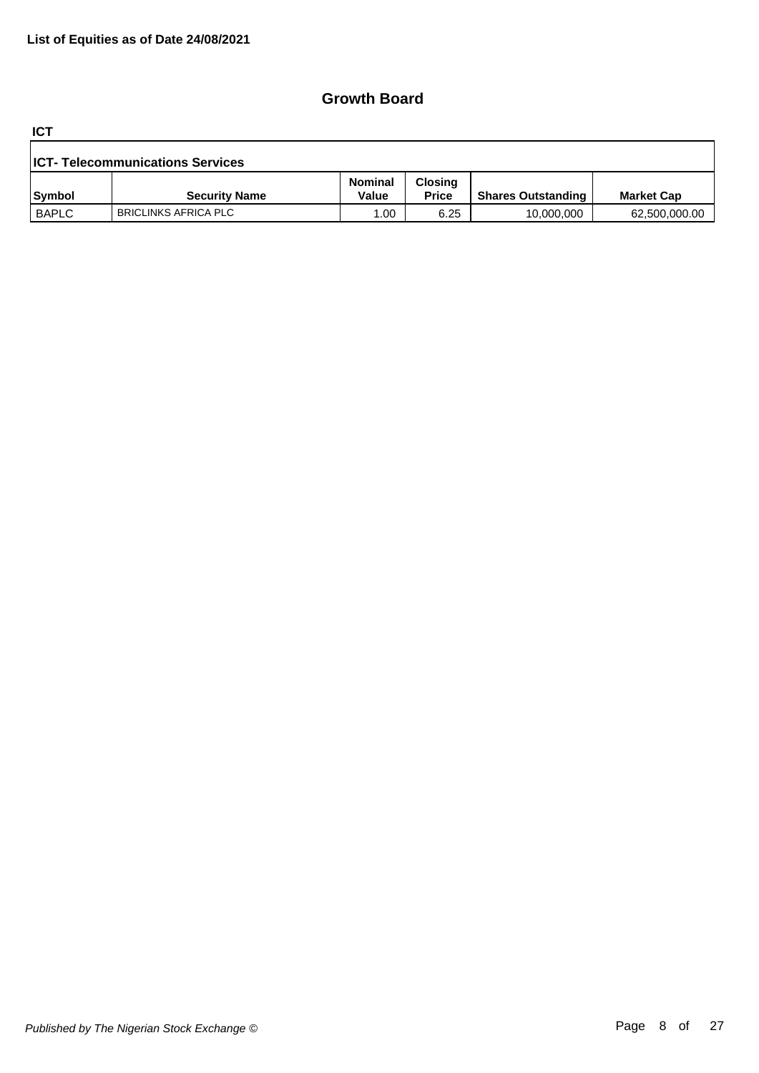**ICT**

| <b>ICT- Telecommunications Services</b> |                             |                  |                                |                           |                   |  |  |
|-----------------------------------------|-----------------------------|------------------|--------------------------------|---------------------------|-------------------|--|--|
| Symbol                                  | <b>Security Name</b>        | Nominal<br>Value | <b>Closing</b><br><b>Price</b> | <b>Shares Outstanding</b> | <b>Market Cap</b> |  |  |
| <b>BAPLC</b>                            | <b>BRICLINKS AFRICA PLC</b> | .00              | 6.25                           | 10,000,000                | 62,500,000.00     |  |  |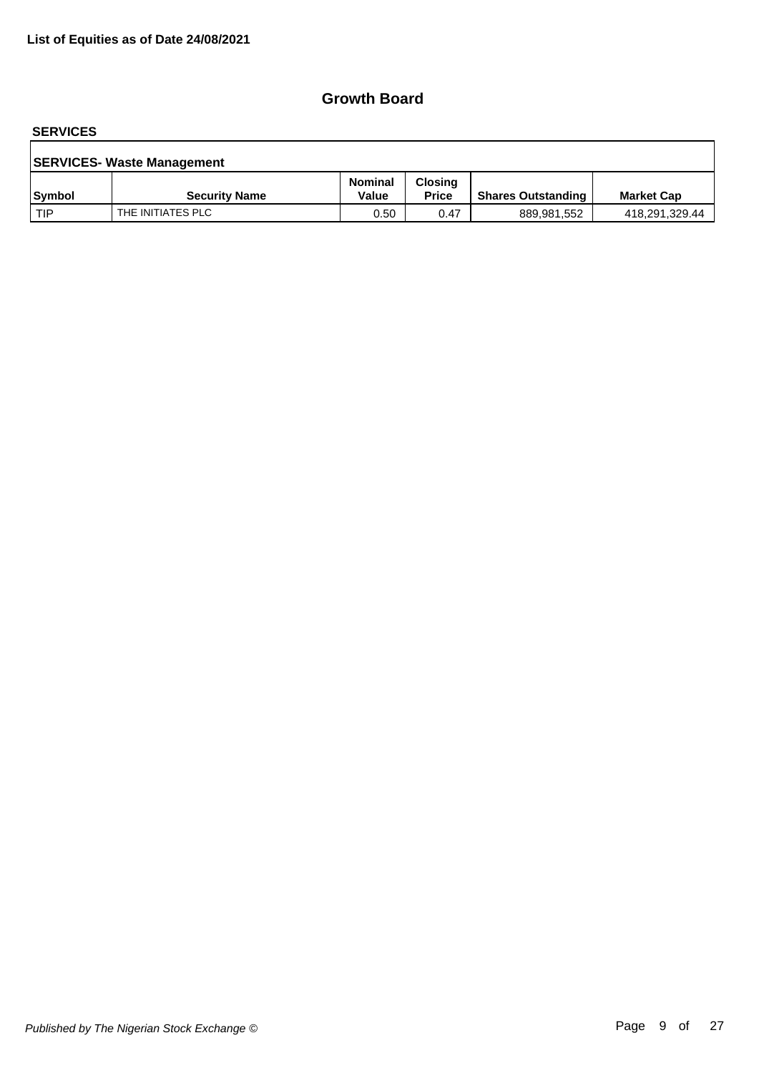#### **SERVICES**

| <b>SERVICES- Waste Management</b> |                      |                         |                                |                           |                   |  |  |
|-----------------------------------|----------------------|-------------------------|--------------------------------|---------------------------|-------------------|--|--|
| <b>Symbol</b>                     | <b>Security Name</b> | <b>Nominal</b><br>Value | <b>Closing</b><br><b>Price</b> | <b>Shares Outstanding</b> | <b>Market Cap</b> |  |  |
| l TIP                             | THE INITIATES PLC    | 0.50                    | 0.47                           | 889,981,552               | 418,291,329.44    |  |  |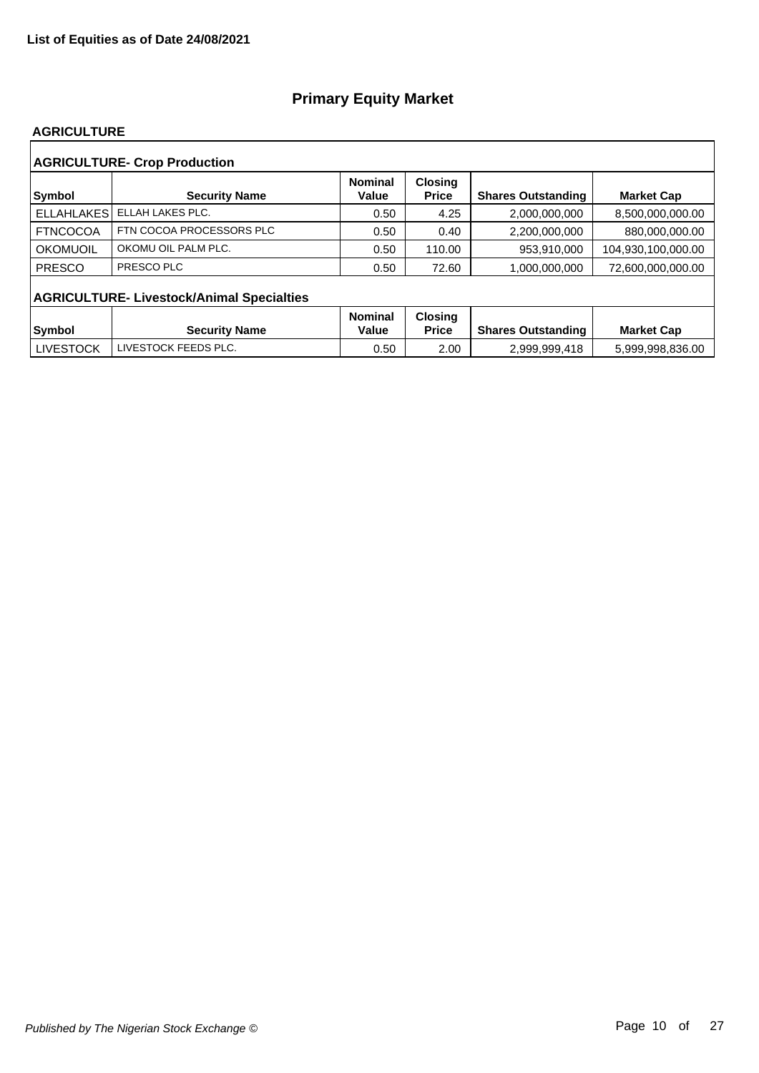#### **AGRICULTURE**

| <b>AGRICULTURE- Crop Production</b> |                                                  |                         |                                |                           |                    |  |  |  |  |
|-------------------------------------|--------------------------------------------------|-------------------------|--------------------------------|---------------------------|--------------------|--|--|--|--|
| Symbol                              | <b>Security Name</b>                             | <b>Nominal</b><br>Value | <b>Closing</b><br><b>Price</b> | <b>Shares Outstanding</b> | <b>Market Cap</b>  |  |  |  |  |
| <b>ELLAHLAKES</b>                   | ELLAH LAKES PLC.                                 | 0.50                    | 4.25                           | 2.000.000.000             | 8,500,000,000.00   |  |  |  |  |
| <b>FTNCOCOA</b>                     | FTN COCOA PROCESSORS PLC                         | 0.50                    | 0.40                           | 2,200,000,000             | 880,000,000.00     |  |  |  |  |
| OKOMUOIL                            | OKOMU OIL PALM PLC.                              | 0.50                    | 110.00                         | 953,910,000               | 104,930,100,000.00 |  |  |  |  |
| <b>PRESCO</b>                       | PRESCO PLC                                       | 0.50                    | 72.60                          | 1,000,000,000             | 72.600.000.000.00  |  |  |  |  |
|                                     | <b>AGRICULTURE- Livestock/Animal Specialties</b> |                         |                                |                           |                    |  |  |  |  |
|                                     |                                                  | <b>Nominal</b>          | <b>Closing</b>                 |                           |                    |  |  |  |  |
| Symbol                              | <b>Security Name</b>                             | Value                   | <b>Price</b>                   | <b>Shares Outstanding</b> | <b>Market Cap</b>  |  |  |  |  |
| <b>LIVESTOCK</b>                    | LIVESTOCK FEEDS PLC.                             | 0.50                    | 2.00                           | 2,999,999,418             | 5,999,998,836.00   |  |  |  |  |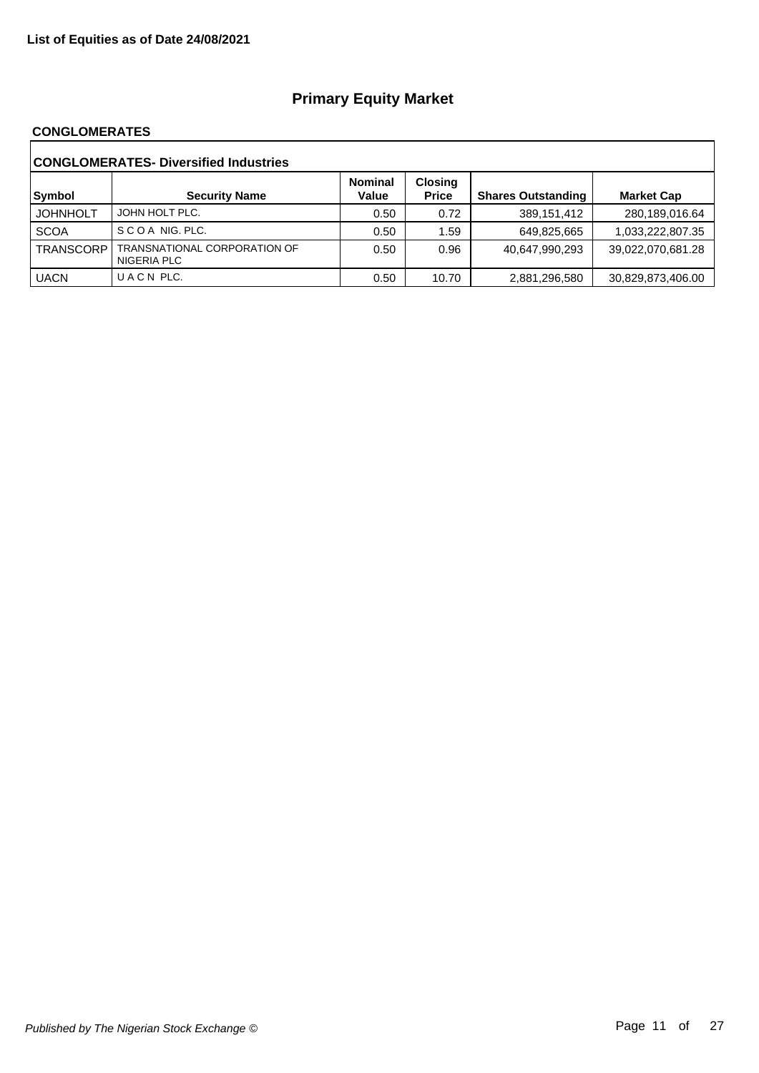#### **CONGLOMERATES**

| <b>CONGLOMERATES- Diversified Industries</b> |                                             |                         |                                |                           |                   |  |  |
|----------------------------------------------|---------------------------------------------|-------------------------|--------------------------------|---------------------------|-------------------|--|--|
| Symbol                                       | <b>Security Name</b>                        | <b>Nominal</b><br>Value | <b>Closing</b><br><b>Price</b> | <b>Shares Outstanding</b> | <b>Market Cap</b> |  |  |
| <b>JOHNHOLT</b>                              | JOHN HOLT PLC.                              | 0.50                    | 0.72                           | 389,151,412               | 280,189,016.64    |  |  |
| <b>SCOA</b>                                  | SCOA NIG. PLC.                              | 0.50                    | 1.59                           | 649,825,665               | 1,033,222,807.35  |  |  |
| <b>TRANSCORP</b>                             | TRANSNATIONAL CORPORATION OF<br>NIGERIA PLC | 0.50                    | 0.96                           | 40,647,990,293            | 39,022,070,681.28 |  |  |
| <b>UACN</b>                                  | UACN PLC.                                   | 0.50                    | 10.70                          | 2,881,296,580             | 30,829,873,406.00 |  |  |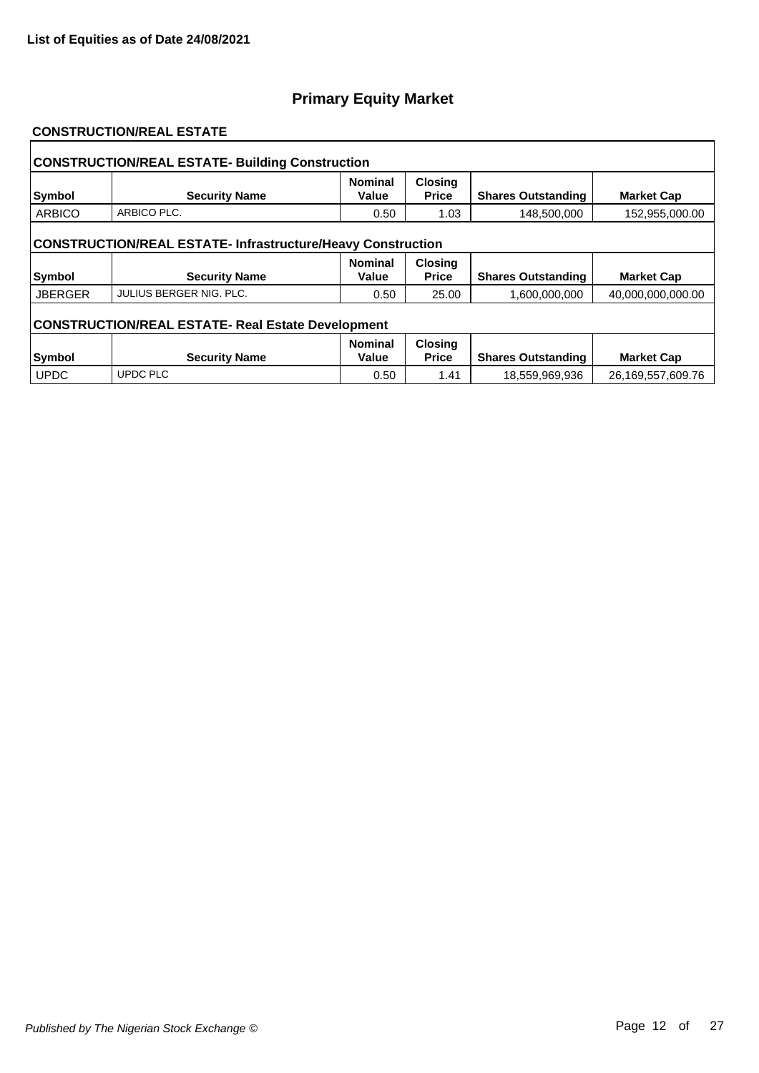#### **CONSTRUCTION/REAL ESTATE**

| <b>CONSTRUCTION/REAL ESTATE- Building Construction</b>             |                         |                         |                                |                           |                   |  |  |  |
|--------------------------------------------------------------------|-------------------------|-------------------------|--------------------------------|---------------------------|-------------------|--|--|--|
| Symbol                                                             | <b>Security Name</b>    | <b>Nominal</b><br>Value | <b>Closing</b><br><b>Price</b> | <b>Shares Outstanding</b> | <b>Market Cap</b> |  |  |  |
| <b>ARBICO</b>                                                      | ARBICO PLC.             | 0.50                    | 1.03                           | 148,500,000               | 152,955,000.00    |  |  |  |
| <b>CONSTRUCTION/REAL ESTATE- Infrastructure/Heavy Construction</b> |                         |                         |                                |                           |                   |  |  |  |
| <b>Symbol</b>                                                      | <b>Security Name</b>    | <b>Nominal</b><br>Value | <b>Closing</b><br><b>Price</b> | <b>Shares Outstanding</b> | <b>Market Cap</b> |  |  |  |
| <b>JBERGER</b>                                                     | JULIUS BERGER NIG. PLC. | 0.50                    | 25.00                          | 1,600,000,000             | 40,000,000,000.00 |  |  |  |
| <b>CONSTRUCTION/REAL ESTATE- Real Estate Development</b>           |                         |                         |                                |                           |                   |  |  |  |
|                                                                    |                         | <b>Nominal</b>          | <b>Closing</b>                 |                           |                   |  |  |  |
| Symbol                                                             | <b>Security Name</b>    | Value                   | <b>Price</b>                   | <b>Shares Outstanding</b> | <b>Market Cap</b> |  |  |  |
| <b>UPDC</b>                                                        | <b>UPDC PLC</b>         | 0.50                    | 1.41                           | 18,559,969,936            | 26,169,557,609.76 |  |  |  |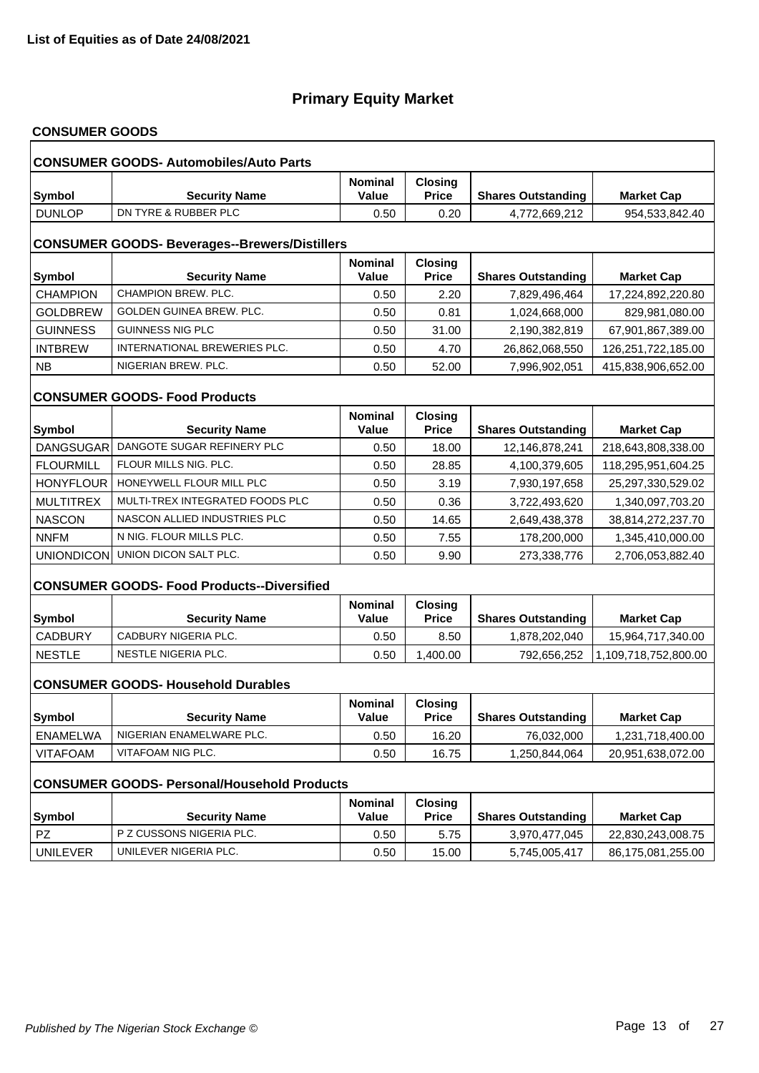# **CONSUMER GOODS**

|                                                      | <b>CONSUMER GOODS- Automobiles/Auto Parts</b>      |                         |                                |                           |                      |  |  |  |
|------------------------------------------------------|----------------------------------------------------|-------------------------|--------------------------------|---------------------------|----------------------|--|--|--|
| <b>Symbol</b>                                        | <b>Security Name</b>                               | <b>Nominal</b><br>Value | <b>Closing</b><br><b>Price</b> | <b>Shares Outstanding</b> | <b>Market Cap</b>    |  |  |  |
| <b>DUNLOP</b>                                        | DN TYRE & RUBBER PLC                               | 0.50                    | 0.20                           | 4,772,669,212             | 954,533,842.40       |  |  |  |
| <b>CONSUMER GOODS- Beverages--Brewers/Distillers</b> |                                                    |                         |                                |                           |                      |  |  |  |
| Symbol                                               | <b>Security Name</b>                               | <b>Nominal</b><br>Value | <b>Closing</b><br><b>Price</b> | <b>Shares Outstanding</b> | <b>Market Cap</b>    |  |  |  |
| <b>CHAMPION</b>                                      | CHAMPION BREW, PLC.                                | 0.50                    | 2.20                           | 7,829,496,464             | 17,224,892,220.80    |  |  |  |
| <b>GOLDBREW</b>                                      | GOLDEN GUINEA BREW. PLC.                           | 0.50                    | 0.81                           | 1,024,668,000             | 829,981,080.00       |  |  |  |
| <b>GUINNESS</b>                                      | GUINNESS NIG PLC                                   | 0.50                    | 31.00                          | 2,190,382,819             | 67,901,867,389.00    |  |  |  |
| <b>INTBREW</b>                                       | INTERNATIONAL BREWERIES PLC.                       | 0.50                    | 4.70                           | 26,862,068,550            | 126,251,722,185.00   |  |  |  |
| <b>NB</b>                                            | NIGERIAN BREW. PLC.                                | 0.50                    | 52.00                          | 7,996,902,051             | 415,838,906,652.00   |  |  |  |
|                                                      | <b>CONSUMER GOODS- Food Products</b>               |                         |                                |                           |                      |  |  |  |
| Symbol                                               | <b>Security Name</b>                               | <b>Nominal</b><br>Value | <b>Closing</b><br><b>Price</b> | <b>Shares Outstanding</b> | <b>Market Cap</b>    |  |  |  |
| DANGSUGAR                                            | DANGOTE SUGAR REFINERY PLC                         | 0.50                    | 18.00                          | 12,146,878,241            | 218,643,808,338.00   |  |  |  |
| <b>FLOURMILL</b>                                     | FLOUR MILLS NIG. PLC.                              | 0.50                    | 28.85                          | 4,100,379,605             | 118,295,951,604.25   |  |  |  |
| HONYFLOUR                                            | HONEYWELL FLOUR MILL PLC                           | 0.50                    | 3.19                           | 7,930,197,658             | 25,297,330,529.02    |  |  |  |
| <b>MULTITREX</b>                                     | MULTI-TREX INTEGRATED FOODS PLC                    | 0.50                    | 0.36                           | 3,722,493,620             | 1,340,097,703.20     |  |  |  |
| <b>NASCON</b>                                        | NASCON ALLIED INDUSTRIES PLC                       | 0.50                    | 14.65                          | 2,649,438,378             | 38,814,272,237.70    |  |  |  |
| <b>NNFM</b>                                          | N NIG. FLOUR MILLS PLC.                            | 0.50                    | 7.55                           | 178,200,000               | 1,345,410,000.00     |  |  |  |
|                                                      | UNIONDICON UNION DICON SALT PLC.                   | 0.50                    | 9.90                           | 273,338,776               | 2,706,053,882.40     |  |  |  |
|                                                      | <b>CONSUMER GOODS- Food Products--Diversified</b>  |                         |                                |                           |                      |  |  |  |
| <b>Symbol</b>                                        | <b>Security Name</b>                               | <b>Nominal</b><br>Value | Closing<br><b>Price</b>        | <b>Shares Outstanding</b> | <b>Market Cap</b>    |  |  |  |
| <b>CADBURY</b>                                       | CADBURY NIGERIA PLC.                               | 0.50                    | 8.50                           | 1,878,202,040             | 15,964,717,340.00    |  |  |  |
| <b>NESTLE</b>                                        | NESTLE NIGERIA PLC.                                | 0.50                    | 1,400.00                       | 792,656,252               | 1,109,718,752,800.00 |  |  |  |
|                                                      | <b>CONSUMER GOODS- Household Durables</b>          |                         |                                |                           |                      |  |  |  |
| Symbol                                               | <b>Security Name</b>                               | <b>Nominal</b><br>Value | <b>Closing</b><br><b>Price</b> | <b>Shares Outstanding</b> | <b>Market Cap</b>    |  |  |  |
| <b>ENAMELWA</b>                                      | NIGERIAN ENAMELWARE PLC.                           | 0.50                    | 16.20                          | 76,032,000                | 1,231,718,400.00     |  |  |  |
| <b>VITAFOAM</b>                                      | VITAFOAM NIG PLC.                                  | 0.50                    | 16.75                          | 1,250,844,064             | 20,951,638,072.00    |  |  |  |
|                                                      | <b>CONSUMER GOODS- Personal/Household Products</b> |                         |                                |                           |                      |  |  |  |
| <b>Symbol</b>                                        | <b>Security Name</b>                               | <b>Nominal</b><br>Value | <b>Closing</b><br><b>Price</b> | <b>Shares Outstanding</b> | <b>Market Cap</b>    |  |  |  |
| <b>PZ</b>                                            | P Z CUSSONS NIGERIA PLC.                           | 0.50                    | 5.75                           | 3,970,477,045             | 22,830,243,008.75    |  |  |  |
| <b>UNILEVER</b>                                      | UNILEVER NIGERIA PLC.                              | 0.50                    | 15.00                          | 5,745,005,417             | 86,175,081,255.00    |  |  |  |
|                                                      |                                                    |                         |                                |                           |                      |  |  |  |

٦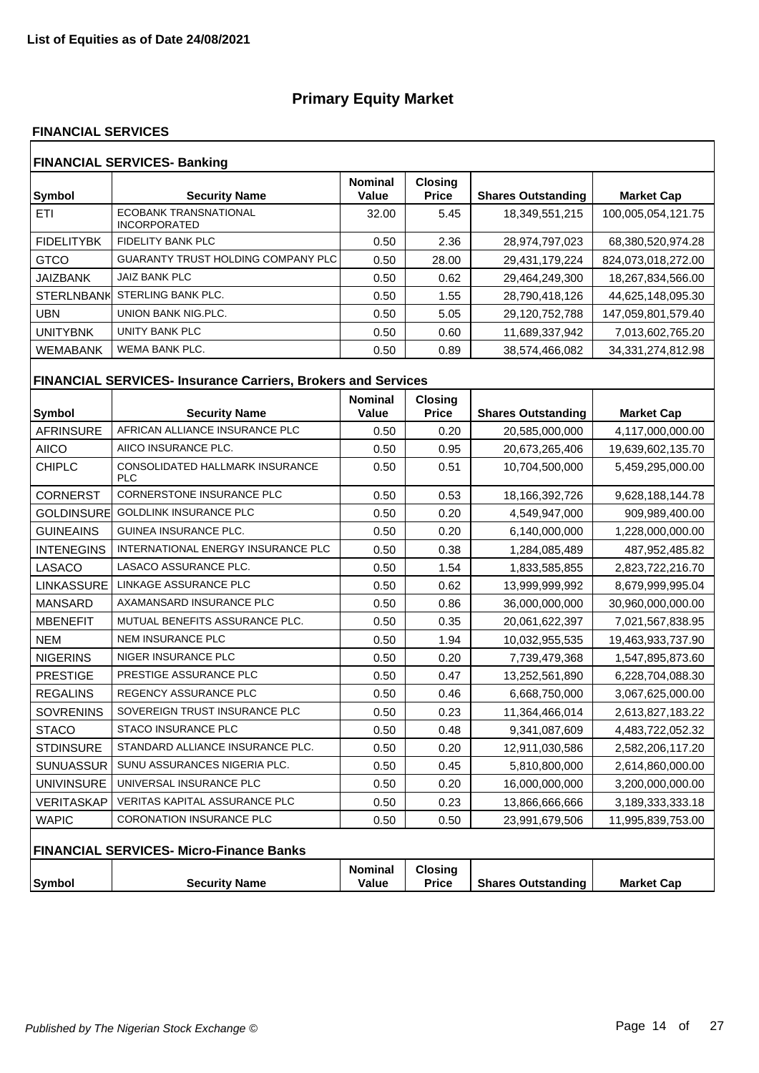#### **FINANCIAL SERVICES**

| <b>FINANCIAL SERVICES- Banking</b>           |                         |                                |                           |                    |  |  |  |
|----------------------------------------------|-------------------------|--------------------------------|---------------------------|--------------------|--|--|--|
| <b>Security Name</b>                         | <b>Nominal</b><br>Value | <b>Closing</b><br><b>Price</b> | <b>Shares Outstanding</b> | <b>Market Cap</b>  |  |  |  |
| ECOBANK TRANSNATIONAL<br><b>INCORPORATED</b> | 32.00                   | 5.45                           | 18,349,551,215            | 100,005,054,121.75 |  |  |  |
| <b>FIDELITY BANK PLC</b>                     | 0.50                    | 2.36                           | 28,974,797,023            | 68,380,520,974.28  |  |  |  |
| <b>GUARANTY TRUST HOLDING COMPANY PLC</b>    | 0.50                    | 28.00                          | 29,431,179,224            | 824,073,018,272.00 |  |  |  |
| JAIZ BANK PLC                                | 0.50                    | 0.62                           | 29,464,249,300            | 18,267,834,566.00  |  |  |  |
| STERLING BANK PLC.                           | 0.50                    | 1.55                           | 28,790,418,126            | 44,625,148,095.30  |  |  |  |
| UNION BANK NIG.PLC.                          | 0.50                    | 5.05                           | 29,120,752,788            | 147,059,801,579.40 |  |  |  |
| UNITY BANK PLC                               | 0.50                    | 0.60                           | 11,689,337,942            | 7,013,602,765.20   |  |  |  |
| <b>WEMA BANK PLC.</b>                        | 0.50                    | 0.89                           | 38,574,466,082            | 34,331,274,812.98  |  |  |  |
|                                              | <b>STERLNBANK</b>       |                                |                           |                    |  |  |  |

# **FINANCIAL SERVICES- Insurance Carriers, Brokers and Services**

| <b>Symbol</b>     | <b>Security Name</b>                           | <b>Nominal</b><br>Value | <b>Closing</b><br><b>Price</b> | <b>Shares Outstanding</b> | <b>Market Cap</b> |
|-------------------|------------------------------------------------|-------------------------|--------------------------------|---------------------------|-------------------|
| <b>AFRINSURE</b>  | AFRICAN ALLIANCE INSURANCE PLC                 | 0.50                    | 0.20                           | 20,585,000,000            | 4,117,000,000.00  |
| <b>AIICO</b>      | AIICO INSURANCE PLC.                           | 0.50                    | 0.95                           | 20,673,265,406            | 19,639,602,135.70 |
| <b>CHIPLC</b>     | CONSOLIDATED HALLMARK INSURANCE<br><b>PLC</b>  | 0.50                    | 0.51                           | 10,704,500,000            | 5,459,295,000.00  |
| <b>CORNERST</b>   | <b>CORNERSTONE INSURANCE PLC</b>               | 0.50                    | 0.53                           | 18,166,392,726            | 9,628,188,144.78  |
| GOLDINSURE        | <b>GOLDLINK INSURANCE PLC</b>                  | 0.50                    | 0.20                           | 4,549,947,000             | 909,989,400.00    |
| <b>GUINEAINS</b>  | <b>GUINEA INSURANCE PLC.</b>                   | 0.50                    | 0.20                           | 6,140,000,000             | 1,228,000,000.00  |
| <b>INTENEGINS</b> | INTERNATIONAL ENERGY INSURANCE PLC             | 0.50                    | 0.38                           | 1,284,085,489             | 487,952,485.82    |
| LASACO            | LASACO ASSURANCE PLC.                          | 0.50                    | 1.54                           | 1,833,585,855             | 2,823,722,216.70  |
| LINKASSURE        | LINKAGE ASSURANCE PLC                          | 0.50                    | 0.62                           | 13,999,999,992            | 8,679,999,995.04  |
| <b>MANSARD</b>    | AXAMANSARD INSURANCE PLC                       | 0.50                    | 0.86                           | 36,000,000,000            | 30,960,000,000.00 |
| <b>MBENEFIT</b>   | MUTUAL BENEFITS ASSURANCE PLC.                 | 0.50                    | 0.35                           | 20,061,622,397            | 7,021,567,838.95  |
| <b>NEM</b>        | <b>NEM INSURANCE PLC</b>                       | 0.50                    | 1.94                           | 10,032,955,535            | 19,463,933,737.90 |
| <b>NIGERINS</b>   | NIGER INSURANCE PLC                            | 0.50                    | 0.20                           | 7,739,479,368             | 1,547,895,873.60  |
| <b>PRESTIGE</b>   | PRESTIGE ASSURANCE PLC                         | 0.50                    | 0.47                           | 13,252,561,890            | 6,228,704,088.30  |
| <b>REGALINS</b>   | <b>REGENCY ASSURANCE PLC</b>                   | 0.50                    | 0.46                           | 6,668,750,000             | 3,067,625,000.00  |
| <b>SOVRENINS</b>  | SOVEREIGN TRUST INSURANCE PLC                  | 0.50                    | 0.23                           | 11,364,466,014            | 2,613,827,183.22  |
| <b>STACO</b>      | <b>STACO INSURANCE PLC</b>                     | 0.50                    | 0.48                           | 9,341,087,609             | 4,483,722,052.32  |
| <b>STDINSURE</b>  | STANDARD ALLIANCE INSURANCE PLC.               | 0.50                    | 0.20                           | 12,911,030,586            | 2,582,206,117.20  |
| <b>SUNUASSUR</b>  | SUNU ASSURANCES NIGERIA PLC.                   | 0.50                    | 0.45                           | 5,810,800,000             | 2,614,860,000.00  |
| <b>UNIVINSURE</b> | UNIVERSAL INSURANCE PLC                        | 0.50                    | 0.20                           | 16,000,000,000            | 3,200,000,000.00  |
| <b>VERITASKAP</b> | <b>VERITAS KAPITAL ASSURANCE PLC</b>           | 0.50                    | 0.23                           | 13,866,666,666            | 3,189,333,333.18  |
| <b>WAPIC</b>      | <b>CORONATION INSURANCE PLC</b>                | 0.50                    | 0.50                           | 23,991,679,506            | 11,995,839,753.00 |
|                   | <b>FINANCIAL SERVICES- Micro-Finance Banks</b> |                         |                                |                           |                   |
| Symbol            | <b>Security Name</b>                           | <b>Nominal</b><br>Value | <b>Closing</b><br><b>Price</b> | <b>Shares Outstanding</b> | <b>Market Cap</b> |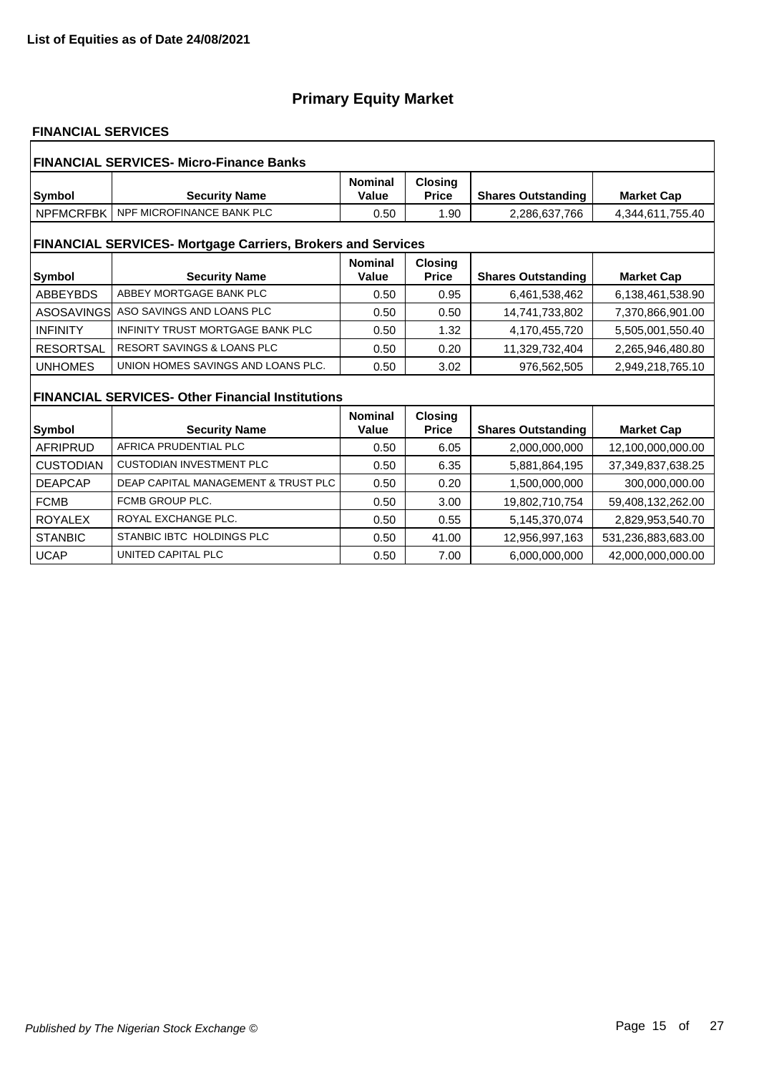### **FINANCIAL SERVICES**

| <b>FINANCIAL SERVICES- Micro-Finance Banks</b>                     |                                                         |                         |                                |                           |                    |  |  |
|--------------------------------------------------------------------|---------------------------------------------------------|-------------------------|--------------------------------|---------------------------|--------------------|--|--|
| Symbol                                                             | <b>Security Name</b>                                    | <b>Nominal</b><br>Value | <b>Closing</b><br><b>Price</b> | <b>Shares Outstanding</b> | <b>Market Cap</b>  |  |  |
| <b>NPFMCRFBK</b>                                                   | NPF MICROFINANCE BANK PLC                               | 0.50                    | 1.90                           | 2,286,637,766             | 4,344,611,755.40   |  |  |
| <b>FINANCIAL SERVICES- Mortgage Carriers, Brokers and Services</b> |                                                         |                         |                                |                           |                    |  |  |
| Symbol                                                             | <b>Security Name</b>                                    | <b>Nominal</b><br>Value | <b>Closing</b><br><b>Price</b> | <b>Shares Outstanding</b> | <b>Market Cap</b>  |  |  |
| <b>ABBEYBDS</b>                                                    | ABBEY MORTGAGE BANK PLC                                 | 0.50                    | 0.95                           | 6,461,538,462             | 6,138,461,538.90   |  |  |
| ASOSAVINGS                                                         | ASO SAVINGS AND LOANS PLC                               | 0.50                    | 0.50                           | 14,741,733,802            | 7,370,866,901.00   |  |  |
| <b>INFINITY</b>                                                    | INFINITY TRUST MORTGAGE BANK PLC                        | 0.50                    | 1.32                           | 4,170,455,720             | 5,505,001,550.40   |  |  |
| <b>RESORTSAL</b>                                                   | <b>RESORT SAVINGS &amp; LOANS PLC</b>                   | 0.50                    | 0.20                           | 11,329,732,404            | 2,265,946,480.80   |  |  |
| <b>UNHOMES</b>                                                     | UNION HOMES SAVINGS AND LOANS PLC.                      | 0.50                    | 3.02                           | 976,562,505               | 2,949,218,765.10   |  |  |
|                                                                    | <b>FINANCIAL SERVICES- Other Financial Institutions</b> |                         |                                |                           |                    |  |  |
|                                                                    |                                                         | <b>Nominal</b>          | <b>Closing</b>                 |                           |                    |  |  |
| Symbol                                                             | <b>Security Name</b>                                    | Value                   | <b>Price</b>                   | <b>Shares Outstanding</b> | <b>Market Cap</b>  |  |  |
| <b>AFRIPRUD</b>                                                    | AFRICA PRUDENTIAL PLC                                   | 0.50                    | 6.05                           | 2.000.000.000             | 12,100,000,000.00  |  |  |
| <b>CUSTODIAN</b>                                                   | <b>CUSTODIAN INVESTMENT PLC</b>                         | 0.50                    | 6.35                           | 5,881,864,195             | 37,349,837,638.25  |  |  |
| <b>DEAPCAP</b>                                                     | DEAP CAPITAL MANAGEMENT & TRUST PLC                     | 0.50                    | 0.20                           | 1,500,000,000             | 300,000,000.00     |  |  |
| <b>FCMB</b>                                                        | FCMB GROUP PLC.                                         | 0.50                    | 3.00                           | 19,802,710,754            | 59,408,132,262.00  |  |  |
| <b>ROYALEX</b>                                                     | ROYAL EXCHANGE PLC.                                     | 0.50                    | 0.55                           | 5,145,370,074             | 2,829,953,540.70   |  |  |
| <b>STANBIC</b>                                                     | STANBIC IBTC HOLDINGS PLC                               | 0.50                    | 41.00                          | 12,956,997,163            | 531,236,883,683.00 |  |  |
| <b>UCAP</b>                                                        | UNITED CAPITAL PLC                                      | 0.50                    | 7.00                           | 6.000.000.000             | 42.000.000.000.00  |  |  |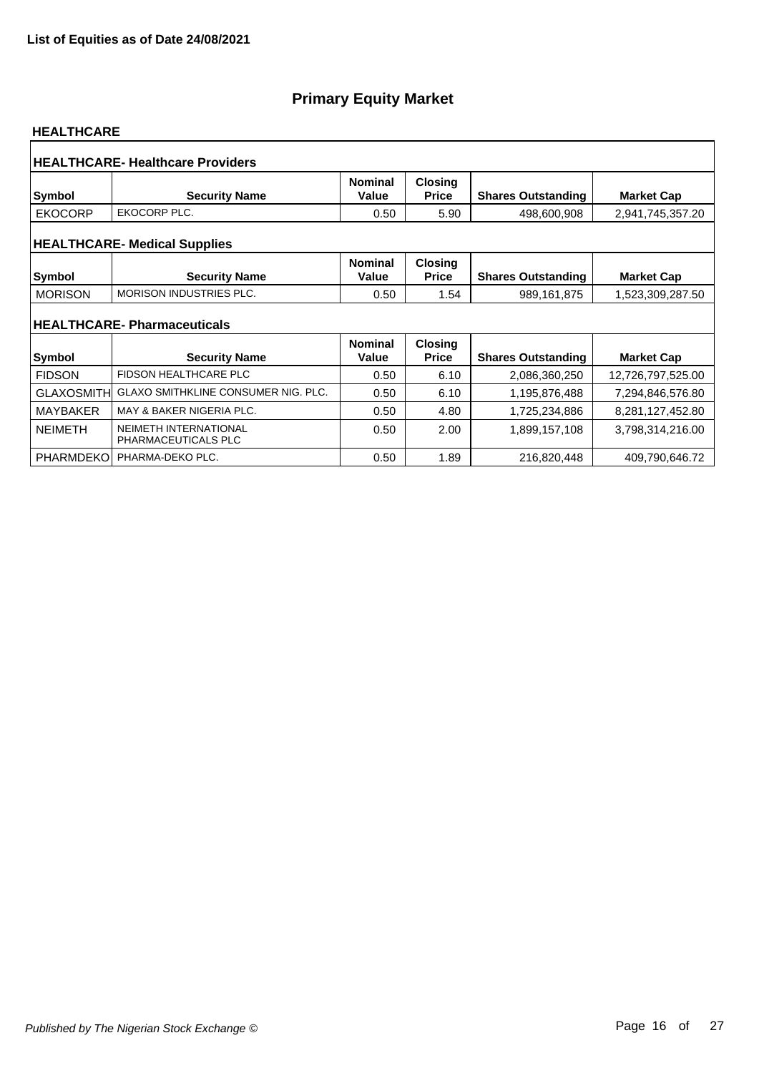#### **HEALTHCARE**

| <b>HEALTHCARE-Healthcare Providers</b> |                                              |                         |                                |                           |                   |  |  |  |
|----------------------------------------|----------------------------------------------|-------------------------|--------------------------------|---------------------------|-------------------|--|--|--|
| <b>Symbol</b>                          | <b>Security Name</b>                         | <b>Nominal</b><br>Value | <b>Closing</b><br><b>Price</b> | <b>Shares Outstanding</b> | <b>Market Cap</b> |  |  |  |
| <b>EKOCORP</b>                         | EKOCORP PLC.                                 | 0.50                    | 5.90                           | 498,600,908               | 2,941,745,357.20  |  |  |  |
| <b>HEALTHCARE- Medical Supplies</b>    |                                              |                         |                                |                           |                   |  |  |  |
| Symbol                                 | <b>Security Name</b>                         | <b>Nominal</b><br>Value | <b>Closing</b><br><b>Price</b> | <b>Shares Outstanding</b> | <b>Market Cap</b> |  |  |  |
| <b>MORISON</b>                         | <b>MORISON INDUSTRIES PLC.</b>               | 0.50                    | 1.54                           | 989,161,875               | 1,523,309,287.50  |  |  |  |
|                                        | <b>HEALTHCARE-Pharmaceuticals</b>            |                         |                                |                           |                   |  |  |  |
| Symbol                                 | <b>Security Name</b>                         | <b>Nominal</b><br>Value | <b>Closing</b><br><b>Price</b> | <b>Shares Outstanding</b> | <b>Market Cap</b> |  |  |  |
| <b>FIDSON</b>                          | <b>FIDSON HEALTHCARE PLC</b>                 | 0.50                    | 6.10                           | 2,086,360,250             | 12,726,797,525.00 |  |  |  |
| <b>GLAXOSMITHI</b>                     | <b>GLAXO SMITHKLINE CONSUMER NIG. PLC.</b>   | 0.50                    | 6.10                           | 1,195,876,488             | 7,294,846,576.80  |  |  |  |
| <b>MAYBAKER</b>                        | MAY & BAKER NIGERIA PLC.                     | 0.50                    | 4.80                           | 1,725,234,886             | 8,281,127,452.80  |  |  |  |
| <b>NEIMETH</b>                         | NEIMETH INTERNATIONAL<br>PHARMACEUTICALS PLC | 0.50                    | 2.00                           | 1,899,157,108             | 3,798,314,216.00  |  |  |  |
| <b>PHARMDEKO</b>                       | PHARMA-DEKO PLC.                             | 0.50                    | 1.89                           | 216,820,448               | 409,790,646.72    |  |  |  |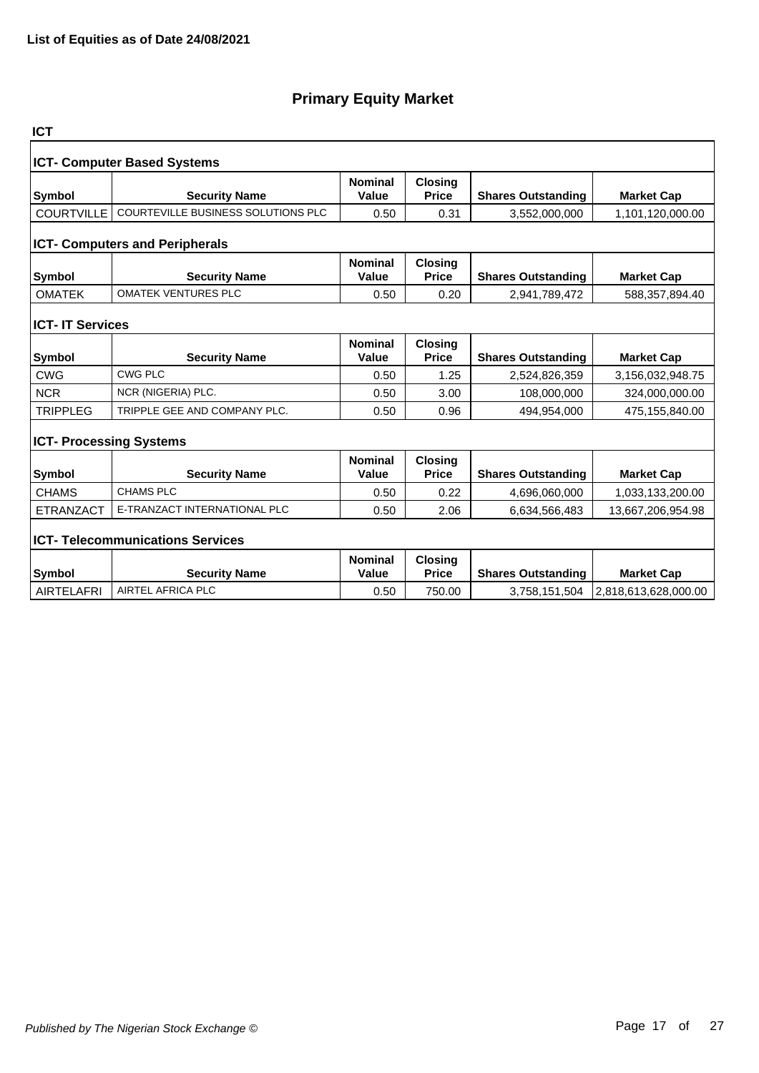| <b>ICT</b>                         |                                         |                                |                                |                           |                      |  |  |  |  |
|------------------------------------|-----------------------------------------|--------------------------------|--------------------------------|---------------------------|----------------------|--|--|--|--|
| <b>ICT- Computer Based Systems</b> |                                         |                                |                                |                           |                      |  |  |  |  |
| Symbol                             | <b>Security Name</b>                    | <b>Nominal</b><br>Value        | <b>Closing</b><br><b>Price</b> | <b>Shares Outstanding</b> | <b>Market Cap</b>    |  |  |  |  |
| <b>COURTVILLE</b>                  | COURTEVILLE BUSINESS SOLUTIONS PLC      | 0.50                           | 0.31                           | 3,552,000,000             | 1,101,120,000.00     |  |  |  |  |
|                                    | <b>ICT- Computers and Peripherals</b>   |                                |                                |                           |                      |  |  |  |  |
| Symbol                             | <b>Security Name</b>                    | <b>Nominal</b><br>Value        | <b>Closing</b><br><b>Price</b> | <b>Shares Outstanding</b> | <b>Market Cap</b>    |  |  |  |  |
| <b>OMATEK</b>                      | <b>OMATEK VENTURES PLC</b>              | 0.50                           | 0.20                           | 2,941,789,472             | 588,357,894.40       |  |  |  |  |
| <b>ICT-IT Services</b>             |                                         |                                |                                |                           |                      |  |  |  |  |
| <b>Symbol</b>                      | <b>Security Name</b>                    | <b>Nominal</b><br>Value        | <b>Closing</b><br><b>Price</b> | <b>Shares Outstanding</b> | <b>Market Cap</b>    |  |  |  |  |
| <b>CWG</b>                         | <b>CWG PLC</b>                          | 0.50                           | 1.25                           | 2,524,826,359             | 3,156,032,948.75     |  |  |  |  |
| <b>NCR</b>                         | NCR (NIGERIA) PLC.                      | 0.50                           | 3.00                           | 108,000,000               | 324,000,000.00       |  |  |  |  |
| <b>TRIPPLEG</b>                    | TRIPPLE GEE AND COMPANY PLC.            | 0.50                           | 0.96                           | 494,954,000               | 475,155,840.00       |  |  |  |  |
| <b>ICT- Processing Systems</b>     |                                         |                                |                                |                           |                      |  |  |  |  |
| Symbol                             | <b>Security Name</b>                    | <b>Nominal</b><br>Value        | <b>Closing</b><br><b>Price</b> | <b>Shares Outstanding</b> | <b>Market Cap</b>    |  |  |  |  |
| <b>CHAMS</b>                       | <b>CHAMS PLC</b>                        | 0.50                           | 0.22                           | 4,696,060,000             | 1,033,133,200.00     |  |  |  |  |
| <b>ETRANZACT</b>                   | E-TRANZACT INTERNATIONAL PLC            | 0.50                           | 2.06                           | 6,634,566,483             | 13,667,206,954.98    |  |  |  |  |
|                                    | <b>ICT- Telecommunications Services</b> |                                |                                |                           |                      |  |  |  |  |
| <b>Symbol</b>                      | <b>Security Name</b>                    | <b>Nominal</b><br><b>Value</b> | <b>Closing</b><br><b>Price</b> | <b>Shares Outstanding</b> | <b>Market Cap</b>    |  |  |  |  |
| <b>AIRTELAFRI</b>                  | AIRTEL AFRICA PLC                       | 0.50                           | 750.00                         | 3,758,151,504             | 2,818,613,628,000.00 |  |  |  |  |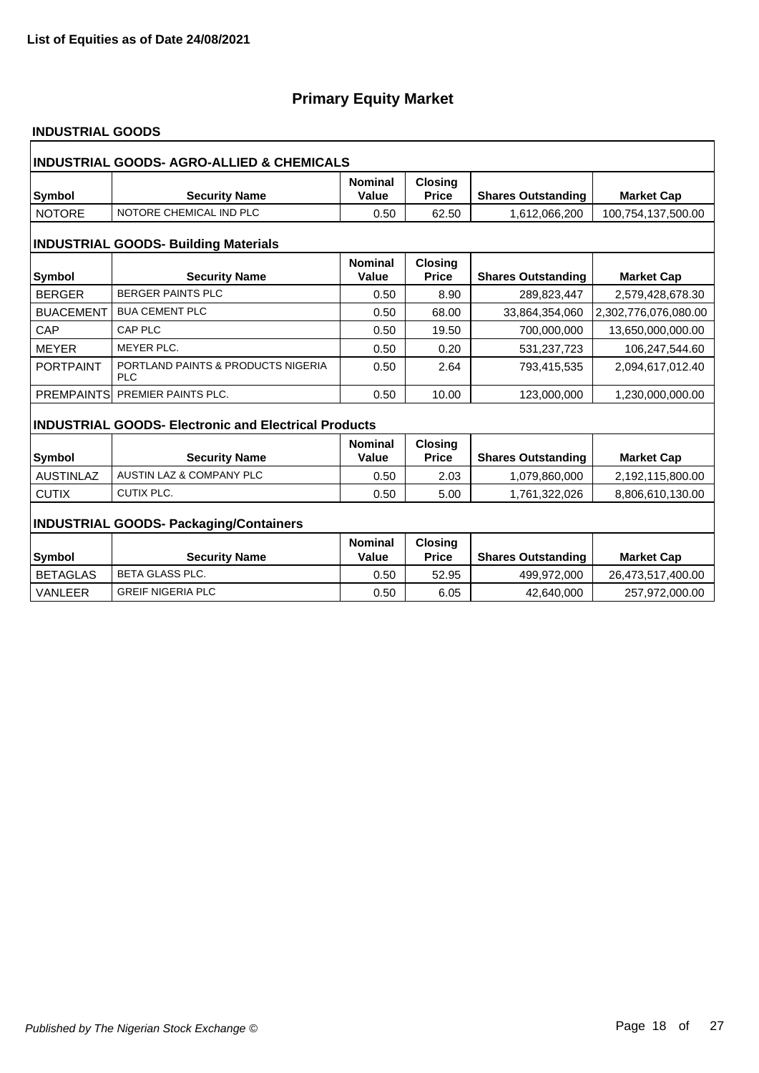### **INDUSTRIAL GOODS**

| <b>INDUSTRIAL GOODS- AGRO-ALLIED &amp; CHEMICALS</b> |                                                             |                         |                                |                           |                      |  |  |
|------------------------------------------------------|-------------------------------------------------------------|-------------------------|--------------------------------|---------------------------|----------------------|--|--|
| Symbol                                               | <b>Security Name</b>                                        | <b>Nominal</b><br>Value | <b>Closing</b><br><b>Price</b> | <b>Shares Outstanding</b> | <b>Market Cap</b>    |  |  |
| <b>NOTORE</b>                                        | NOTORE CHEMICAL IND PLC                                     | 0.50                    | 62.50                          | 1,612,066,200             | 100,754,137,500.00   |  |  |
| <b>INDUSTRIAL GOODS- Building Materials</b>          |                                                             |                         |                                |                           |                      |  |  |
| Symbol                                               | <b>Security Name</b>                                        | <b>Nominal</b><br>Value | <b>Closing</b><br><b>Price</b> | <b>Shares Outstanding</b> | <b>Market Cap</b>    |  |  |
| <b>BERGER</b>                                        | <b>BERGER PAINTS PLC</b>                                    | 0.50                    | 8.90                           | 289,823,447               | 2,579,428,678.30     |  |  |
| <b>BUACEMENT</b>                                     | <b>BUA CEMENT PLC</b>                                       | 0.50                    | 68.00                          | 33,864,354,060            | 2,302,776,076,080.00 |  |  |
| CAP                                                  | CAP PLC                                                     | 0.50                    | 19.50                          | 700.000.000               | 13,650,000,000.00    |  |  |
| <b>MEYER</b>                                         | MEYER PLC.                                                  | 0.50                    | 0.20                           | 531,237,723               | 106,247,544.60       |  |  |
| <b>PORTPAINT</b>                                     | PORTLAND PAINTS & PRODUCTS NIGERIA<br><b>PLC</b>            | 0.50                    | 2.64                           | 793,415,535               | 2,094,617,012.40     |  |  |
|                                                      | PREMPAINTS PREMIER PAINTS PLC.                              | 0.50                    | 10.00                          | 123,000,000               | 1,230,000,000.00     |  |  |
|                                                      | <b>INDUSTRIAL GOODS- Electronic and Electrical Products</b> |                         |                                |                           |                      |  |  |
|                                                      |                                                             | <b>Nominal</b>          | <b>Closing</b>                 |                           |                      |  |  |
| <b>Symbol</b>                                        | <b>Security Name</b>                                        | Value                   | <b>Price</b>                   | <b>Shares Outstanding</b> | <b>Market Cap</b>    |  |  |
| <b>AUSTINLAZ</b>                                     | AUSTIN LAZ & COMPANY PLC                                    | 0.50                    | 2.03                           | 1,079,860,000             | 2,192,115,800.00     |  |  |
| <b>CUTIX</b>                                         | CUTIX PLC.                                                  | 0.50                    | 5.00                           | 1,761,322,026             | 8,806,610,130.00     |  |  |
| <b>INDUSTRIAL GOODS- Packaging/Containers</b>        |                                                             |                         |                                |                           |                      |  |  |
|                                                      |                                                             | <b>Nominal</b>          | <b>Closing</b>                 |                           |                      |  |  |
| Symbol                                               | <b>Security Name</b>                                        | Value                   | <b>Price</b>                   | <b>Shares Outstanding</b> | <b>Market Cap</b>    |  |  |
| <b>BETAGLAS</b>                                      | <b>BETA GLASS PLC.</b>                                      | 0.50                    | 52.95                          | 499,972,000               | 26,473,517,400.00    |  |  |
| <b>VANLEER</b>                                       | <b>GREIF NIGERIA PLC</b>                                    | 0.50                    | 6.05                           | 42,640,000                | 257,972,000.00       |  |  |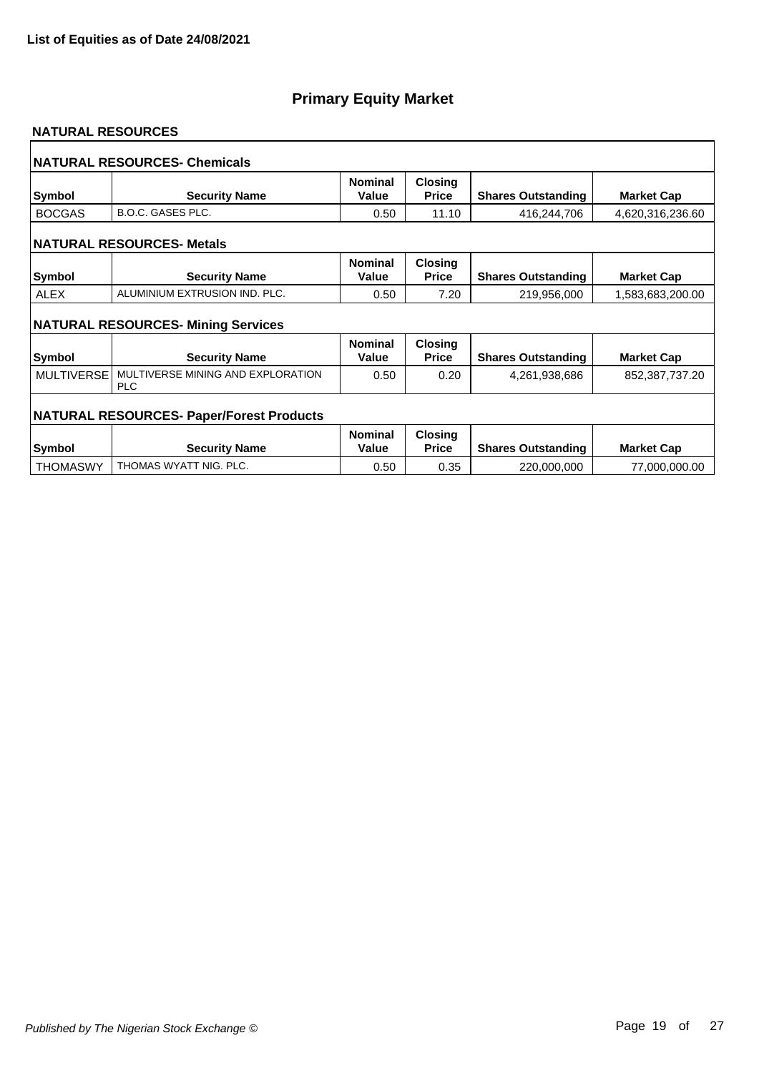#### **NATURAL RESOURCES**

|                   | NATURAL RESOURCES- Chemicals                    |                         |                                |                           |                   |
|-------------------|-------------------------------------------------|-------------------------|--------------------------------|---------------------------|-------------------|
| Symbol            | <b>Security Name</b>                            | <b>Nominal</b><br>Value | <b>Closing</b><br><b>Price</b> | <b>Shares Outstanding</b> | <b>Market Cap</b> |
| <b>BOCGAS</b>     | <b>B.O.C. GASES PLC.</b>                        | 0.50                    | 11.10                          | 416,244,706               | 4,620,316,236.60  |
|                   | <b>NATURAL RESOURCES- Metals</b>                |                         |                                |                           |                   |
| Symbol            | <b>Security Name</b>                            | <b>Nominal</b><br>Value | <b>Closing</b><br><b>Price</b> | <b>Shares Outstanding</b> | <b>Market Cap</b> |
| <b>ALEX</b>       | ALUMINIUM EXTRUSION IND. PLC.                   | 0.50                    | 7.20                           | 219,956,000               | 1,583,683,200.00  |
|                   | <b>NATURAL RESOURCES- Mining Services</b>       |                         |                                |                           |                   |
| <b>Symbol</b>     | <b>Security Name</b>                            | <b>Nominal</b><br>Value | <b>Closing</b><br><b>Price</b> | <b>Shares Outstanding</b> | <b>Market Cap</b> |
| <b>MULTIVERSE</b> | MULTIVERSE MINING AND EXPLORATION<br><b>PLC</b> | 0.50                    | 0.20                           | 4,261,938,686             | 852,387,737.20    |
|                   | <b>NATURAL RESOURCES- Paper/Forest Products</b> |                         |                                |                           |                   |
| Symbol            | <b>Security Name</b>                            | <b>Nominal</b><br>Value | <b>Closing</b><br><b>Price</b> | <b>Shares Outstanding</b> | <b>Market Cap</b> |
| <b>THOMASWY</b>   | THOMAS WYATT NIG. PLC.                          | 0.50                    | 0.35                           | 220,000,000               | 77,000,000.00     |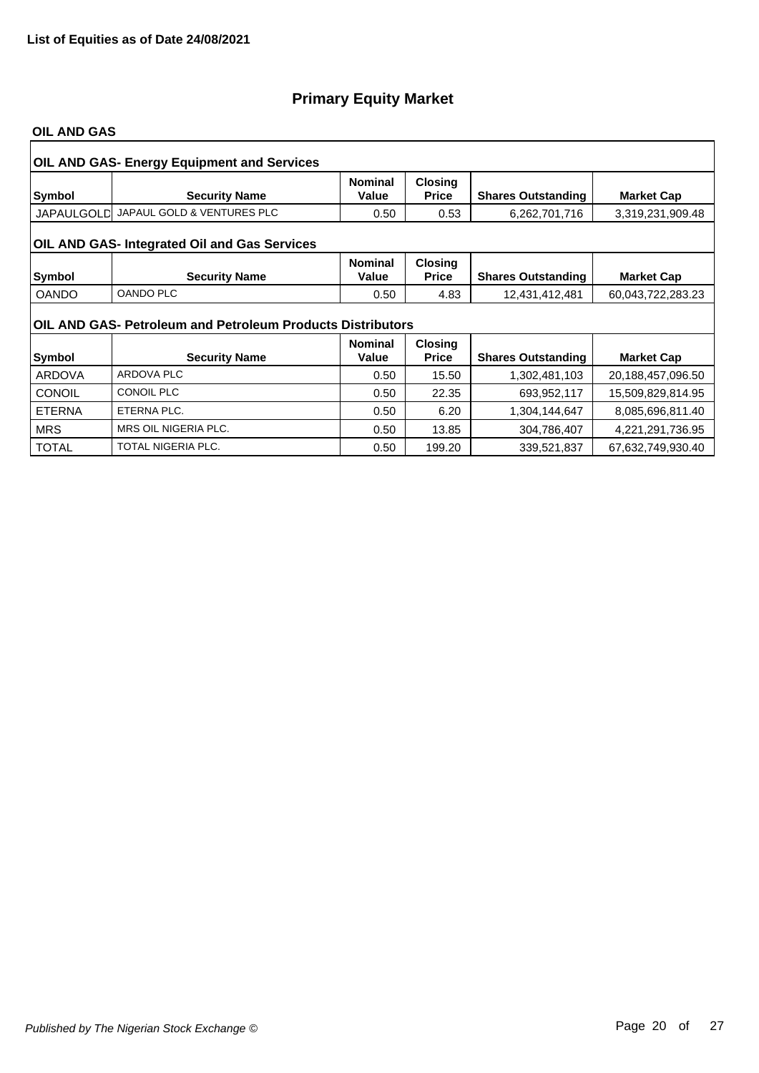#### **OIL AND GAS**

|               | <b>OIL AND GAS- Energy Equipment and Services</b>          |                         |                                |                           |                   |  |  |  |
|---------------|------------------------------------------------------------|-------------------------|--------------------------------|---------------------------|-------------------|--|--|--|
| Symbol        | <b>Security Name</b>                                       | <b>Nominal</b><br>Value | <b>Closing</b><br><b>Price</b> | <b>Shares Outstanding</b> | <b>Market Cap</b> |  |  |  |
|               | JAPAULGOLD JAPAUL GOLD & VENTURES PLC                      | 0.50                    | 0.53                           | 6,262,701,716             | 3,319,231,909.48  |  |  |  |
|               | OIL AND GAS- Integrated Oil and Gas Services               |                         |                                |                           |                   |  |  |  |
| Symbol        | <b>Security Name</b>                                       | <b>Nominal</b><br>Value | <b>Closing</b><br><b>Price</b> | <b>Shares Outstanding</b> | <b>Market Cap</b> |  |  |  |
| <b>OANDO</b>  | <b>OANDO PLC</b>                                           | 0.50                    | 4.83                           | 12,431,412,481            | 60,043,722,283.23 |  |  |  |
|               | OIL AND GAS- Petroleum and Petroleum Products Distributors |                         |                                |                           |                   |  |  |  |
|               |                                                            | <b>Nominal</b>          | <b>Closing</b>                 |                           |                   |  |  |  |
| Symbol        | <b>Security Name</b>                                       | Value                   | <b>Price</b>                   | <b>Shares Outstanding</b> | <b>Market Cap</b> |  |  |  |
| <b>ARDOVA</b> | <b>ARDOVA PLC</b>                                          | 0.50                    | 15.50                          | 1,302,481,103             | 20,188,457,096.50 |  |  |  |
| <b>CONOIL</b> | <b>CONOIL PLC</b>                                          | 0.50                    | 22.35                          | 693,952,117               | 15,509,829,814.95 |  |  |  |
| <b>ETERNA</b> | ETERNA PLC.                                                | 0.50                    | 6.20                           | 1,304,144,647             | 8,085,696,811.40  |  |  |  |
| <b>MRS</b>    | MRS OIL NIGERIA PLC.                                       | 0.50                    | 13.85                          | 304,786,407               | 4,221,291,736.95  |  |  |  |
| <b>TOTAL</b>  | <b>TOTAL NIGERIA PLC.</b>                                  | 0.50                    | 199.20                         | 339,521,837               | 67,632,749,930.40 |  |  |  |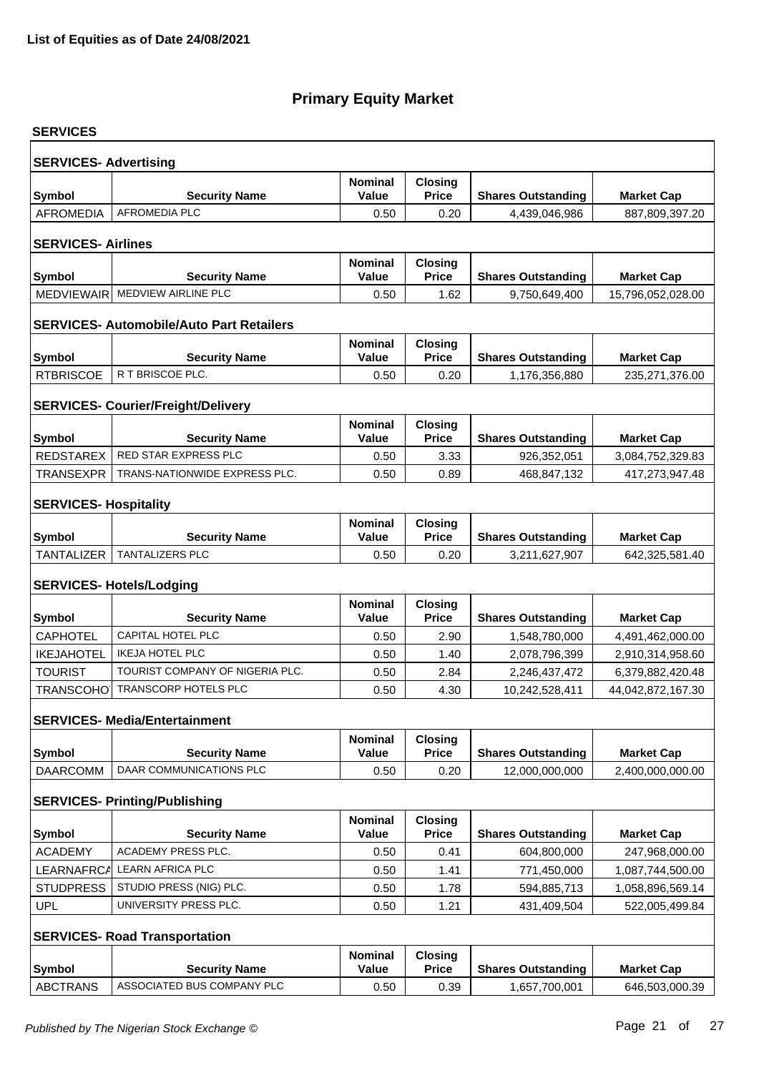| <b>SERVICES</b>                        |                                                 |                                |                                |                           |                   |  |  |  |  |
|----------------------------------------|-------------------------------------------------|--------------------------------|--------------------------------|---------------------------|-------------------|--|--|--|--|
|                                        |                                                 |                                |                                |                           |                   |  |  |  |  |
| <b>SERVICES- Advertising</b><br>Symbol | <b>Security Name</b>                            | <b>Nominal</b><br>Value        | Closing<br><b>Price</b>        | <b>Shares Outstanding</b> | <b>Market Cap</b> |  |  |  |  |
| <b>AFROMEDIA</b>                       | <b>AFROMEDIA PLC</b>                            | 0.50                           | 0.20                           | 4,439,046,986             | 887,809,397.20    |  |  |  |  |
|                                        |                                                 |                                |                                |                           |                   |  |  |  |  |
| <b>SERVICES-Airlines</b>               |                                                 |                                |                                |                           |                   |  |  |  |  |
| <b>Symbol</b>                          | <b>Security Name</b>                            | <b>Nominal</b><br>Value        | <b>Closing</b><br><b>Price</b> | <b>Shares Outstanding</b> | <b>Market Cap</b> |  |  |  |  |
| <b>MEDVIEWAIR</b>                      | MEDVIEW AIRLINE PLC                             | 0.50                           | 1.62                           | 9,750,649,400             | 15,796,052,028.00 |  |  |  |  |
|                                        |                                                 |                                |                                |                           |                   |  |  |  |  |
|                                        | <b>SERVICES- Automobile/Auto Part Retailers</b> |                                |                                |                           |                   |  |  |  |  |
|                                        |                                                 | <b>Nominal</b>                 | <b>Closing</b>                 |                           |                   |  |  |  |  |
| <b>Symbol</b><br><b>RTBRISCOE</b>      | <b>Security Name</b><br>R T BRISCOE PLC.        | <b>Value</b>                   | <b>Price</b>                   | <b>Shares Outstanding</b> | <b>Market Cap</b> |  |  |  |  |
|                                        |                                                 | 0.50                           | 0.20                           | 1,176,356,880             | 235,271,376.00    |  |  |  |  |
|                                        | <b>SERVICES- Courier/Freight/Delivery</b>       |                                |                                |                           |                   |  |  |  |  |
|                                        |                                                 | <b>Nominal</b>                 | <b>Closing</b>                 |                           |                   |  |  |  |  |
| <b>Symbol</b>                          | <b>Security Name</b>                            | <b>Value</b>                   | <b>Price</b>                   | <b>Shares Outstanding</b> | <b>Market Cap</b> |  |  |  |  |
| REDSTAREX                              | RED STAR EXPRESS PLC                            | 0.50                           | 3.33                           | 926,352,051               | 3,084,752,329.83  |  |  |  |  |
| <b>TRANSEXPR</b>                       | TRANS-NATIONWIDE EXPRESS PLC.                   | 0.50                           | 0.89                           | 468,847,132               | 417,273,947.48    |  |  |  |  |
| <b>SERVICES- Hospitality</b>           |                                                 |                                |                                |                           |                   |  |  |  |  |
|                                        |                                                 | <b>Nominal</b>                 | <b>Closing</b>                 |                           |                   |  |  |  |  |
| Symbol                                 | <b>Security Name</b>                            | <b>Value</b>                   | <b>Price</b>                   | <b>Shares Outstanding</b> | <b>Market Cap</b> |  |  |  |  |
| <b>TANTALIZER</b>                      | TANTALIZERS PLC                                 | 0.50                           | 0.20                           | 3,211,627,907             | 642,325,581.40    |  |  |  |  |
|                                        | <b>SERVICES- Hotels/Lodging</b>                 |                                |                                |                           |                   |  |  |  |  |
|                                        |                                                 | <b>Nominal</b>                 | <b>Closing</b>                 |                           |                   |  |  |  |  |
| <b>Symbol</b>                          | <b>Security Name</b>                            | <b>Value</b>                   | <b>Price</b>                   | <b>Shares Outstanding</b> | <b>Market Cap</b> |  |  |  |  |
| <b>CAPHOTEL</b>                        | CAPITAL HOTEL PLC                               | 0.50                           | 2.90                           | 1,548,780,000             | 4,491,462,000.00  |  |  |  |  |
| <b>IKEJAHOTEL</b>                      | <b>IKEJA HOTEL PLC</b>                          | 0.50                           | 1.40                           | 2,078,796,399             | 2,910,314,958.60  |  |  |  |  |
| <b>TOURIST</b>                         | TOURIST COMPANY OF NIGERIA PLC.                 | 0.50                           | 2.84                           | 2,246,437,472             | 6,379,882,420.48  |  |  |  |  |
| <b>TRANSCOHO</b>                       | <b>TRANSCORP HOTELS PLC</b>                     | 0.50                           | 4.30                           | 10,242,528,411            | 44,042,872,167.30 |  |  |  |  |
|                                        | <b>SERVICES- Media/Entertainment</b>            |                                |                                |                           |                   |  |  |  |  |
|                                        |                                                 | <b>Nominal</b>                 | <b>Closing</b>                 |                           |                   |  |  |  |  |
| Symbol                                 | <b>Security Name</b>                            | <b>Value</b>                   | <b>Price</b>                   | <b>Shares Outstanding</b> | <b>Market Cap</b> |  |  |  |  |
| <b>DAARCOMM</b>                        | DAAR COMMUNICATIONS PLC                         | 0.50                           | 0.20                           | 12,000,000,000            | 2,400,000,000.00  |  |  |  |  |
|                                        |                                                 |                                |                                |                           |                   |  |  |  |  |
|                                        | <b>SERVICES- Printing/Publishing</b>            |                                |                                |                           |                   |  |  |  |  |
| <b>Symbol</b>                          | <b>Security Name</b>                            | <b>Nominal</b><br>Value        | <b>Closing</b><br><b>Price</b> | <b>Shares Outstanding</b> | <b>Market Cap</b> |  |  |  |  |
| <b>ACADEMY</b>                         | <b>ACADEMY PRESS PLC.</b>                       | 0.50                           | 0.41                           | 604,800,000               | 247,968,000.00    |  |  |  |  |
| LEARNAFRCA                             | <b>LEARN AFRICA PLC</b>                         | 0.50                           | 1.41                           | 771,450,000               | 1,087,744,500.00  |  |  |  |  |
| <b>STUDPRESS</b>                       | STUDIO PRESS (NIG) PLC.                         | 0.50                           | 1.78                           | 594,885,713               | 1,058,896,569.14  |  |  |  |  |
| <b>UPL</b>                             | UNIVERSITY PRESS PLC.                           | 0.50                           | 1.21                           | 431,409,504               | 522,005,499.84    |  |  |  |  |
|                                        |                                                 |                                |                                |                           |                   |  |  |  |  |
|                                        | <b>SERVICES- Road Transportation</b>            |                                |                                |                           |                   |  |  |  |  |
| Symbol                                 | <b>Security Name</b>                            | <b>Nominal</b><br><b>Value</b> | <b>Closing</b><br><b>Price</b> | <b>Shares Outstanding</b> | <b>Market Cap</b> |  |  |  |  |
| <b>ABCTRANS</b>                        | ASSOCIATED BUS COMPANY PLC                      | 0.50                           | 0.39                           | 1,657,700,001             | 646,503,000.39    |  |  |  |  |
|                                        |                                                 |                                |                                |                           |                   |  |  |  |  |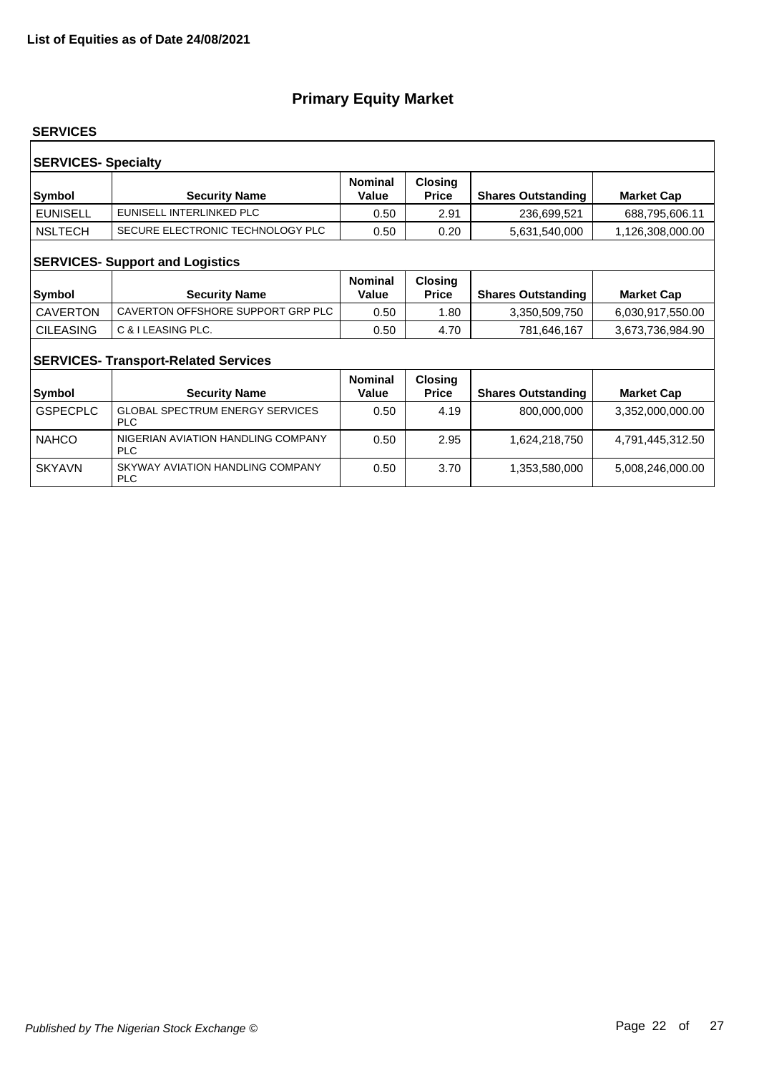#### **SERVICES**

| <b>SERVICES- Specialty</b><br><b>Closing</b><br><b>Nominal</b> |                                  |       |              |                           |                   |  |  |
|----------------------------------------------------------------|----------------------------------|-------|--------------|---------------------------|-------------------|--|--|
| Symbol                                                         | <b>Security Name</b>             | Value | <b>Price</b> | <b>Shares Outstanding</b> | <b>Market Cap</b> |  |  |
| <b>EUNISELL</b>                                                | EUNISELL INTERLINKED PLC         | 0.50  | 2.91         | 236,699,521               | 688,795,606.11    |  |  |
| <b>NSLTECH</b>                                                 | SECURE ELECTRONIC TECHNOLOGY PLC | 0.50  | 0.20         | 5,631,540,000             | 1,126,308,000.00  |  |  |
| <b>SERVICES- Support and Logistics</b>                         |                                  |       |              |                           |                   |  |  |

| <b>Symbol</b>    | <b>Security Name</b>              | <b>Nominal</b><br>Value | <b>Closing</b><br><b>Price</b> | <b>Shares Outstanding</b> | <b>Market Cap</b> |
|------------------|-----------------------------------|-------------------------|--------------------------------|---------------------------|-------------------|
| <b>CAVERTON</b>  | CAVERTON OFFSHORE SUPPORT GRP PLC | 0.50                    | .80                            | 3.350.509.750             | 6,030,917,550.00  |
| <b>CILEASING</b> | C & I LEASING PLC.                | 0.50                    | 4.70                           | 781,646,167               | 3,673,736,984.90  |

### **SERVICES- Transport-Related Services**

| <b>Symbol</b>   | <b>Security Name</b>                                 | <b>Nominal</b><br>Value | <b>Closing</b><br><b>Price</b> | <b>Shares Outstanding</b> | <b>Market Cap</b> |
|-----------------|------------------------------------------------------|-------------------------|--------------------------------|---------------------------|-------------------|
| <b>GSPECPLC</b> | <b>GLOBAL SPECTRUM ENERGY SERVICES</b><br><b>PLC</b> | 0.50                    | 4.19                           | 800,000,000               | 3,352,000,000.00  |
| <b>NAHCO</b>    | NIGERIAN AVIATION HANDLING COMPANY<br><b>PLC</b>     | 0.50                    | 2.95                           | 1,624,218,750             | 4,791,445,312.50  |
| <b>SKYAVN</b>   | SKYWAY AVIATION HANDLING COMPANY<br><b>PLC</b>       | 0.50                    | 3.70                           | 1,353,580,000             | 5,008,246,000.00  |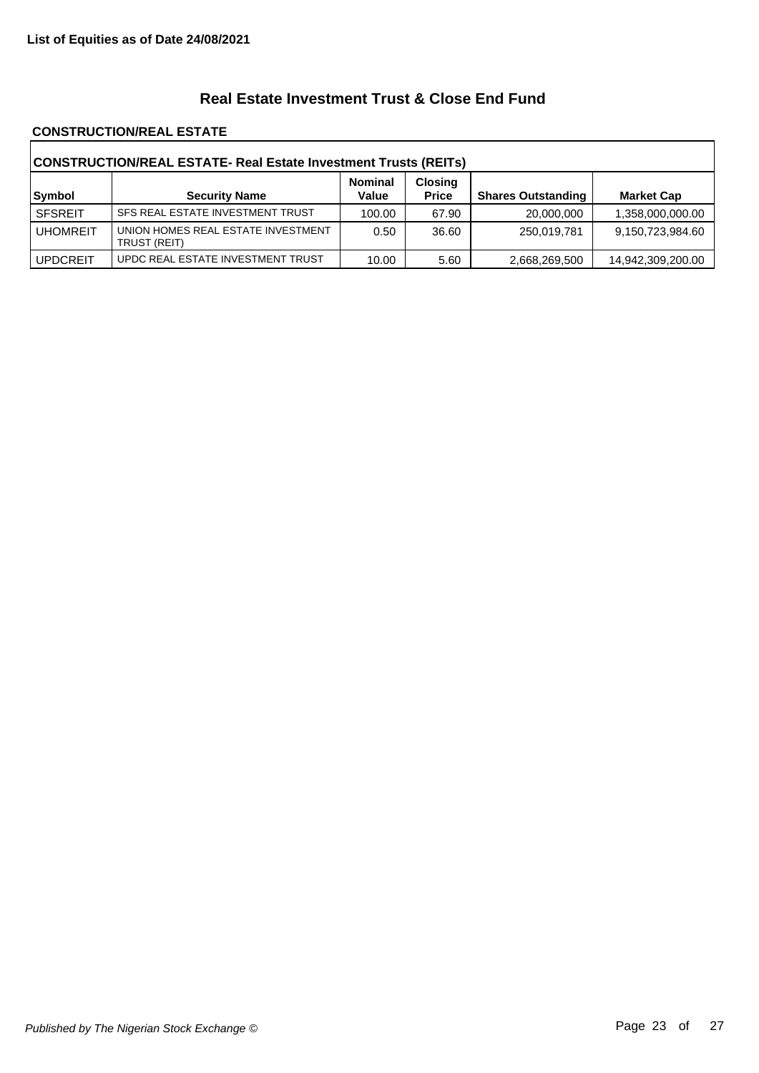### **Real Estate Investment Trust & Close End Fund**

#### **CONSTRUCTION/REAL ESTATE**

| CONSTRUCTION/REAL ESTATE- Real Estate Investment Trusts (REITs) |                                                    |                         |                                |                           |                   |  |
|-----------------------------------------------------------------|----------------------------------------------------|-------------------------|--------------------------------|---------------------------|-------------------|--|
| Symbol                                                          | <b>Security Name</b>                               | <b>Nominal</b><br>Value | <b>Closing</b><br><b>Price</b> | <b>Shares Outstanding</b> | <b>Market Cap</b> |  |
| <b>SFSREIT</b>                                                  | SFS REAL ESTATE INVESTMENT TRUST                   | 100.00                  | 67.90                          | 20,000,000                | 1,358,000,000.00  |  |
| <b>UHOMREIT</b>                                                 | UNION HOMES REAL ESTATE INVESTMENT<br>TRUST (REIT) | 0.50                    | 36.60                          | 250,019,781               | 9,150,723,984.60  |  |
| <b>UPDCREIT</b>                                                 | UPDC REAL ESTATE INVESTMENT TRUST                  | 10.00                   | 5.60                           | 2,668,269,500             | 14,942,309,200.00 |  |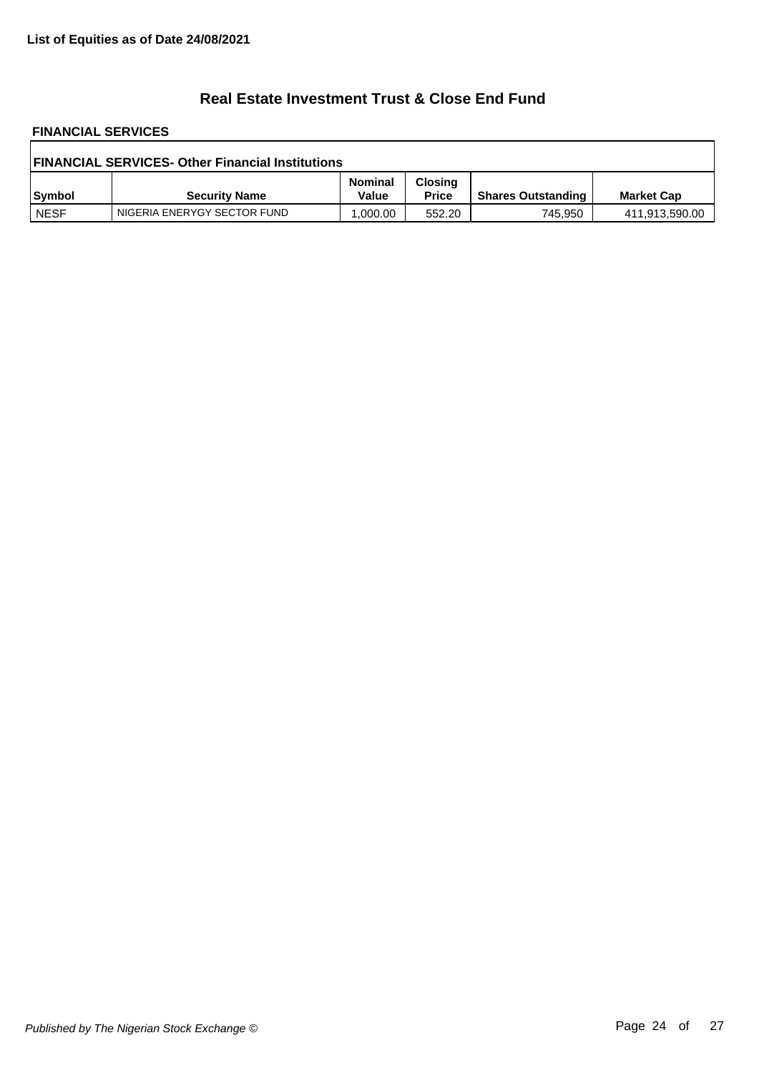## **Real Estate Investment Trust & Close End Fund**

# **FINANCIAL SERVICES**

| <b>FINANCIAL SERVICES- Other Financial Institutions</b> |                             |                         |                                |                           |                   |  |
|---------------------------------------------------------|-----------------------------|-------------------------|--------------------------------|---------------------------|-------------------|--|
| Symbol                                                  | <b>Security Name</b>        | <b>Nominal</b><br>Value | <b>Closing</b><br><b>Price</b> | <b>Shares Outstanding</b> | <b>Market Cap</b> |  |
| <b>NESF</b>                                             | NIGERIA ENERYGY SECTOR FUND | .000.00                 | 552.20                         | 745,950                   | 411,913,590.00    |  |

٦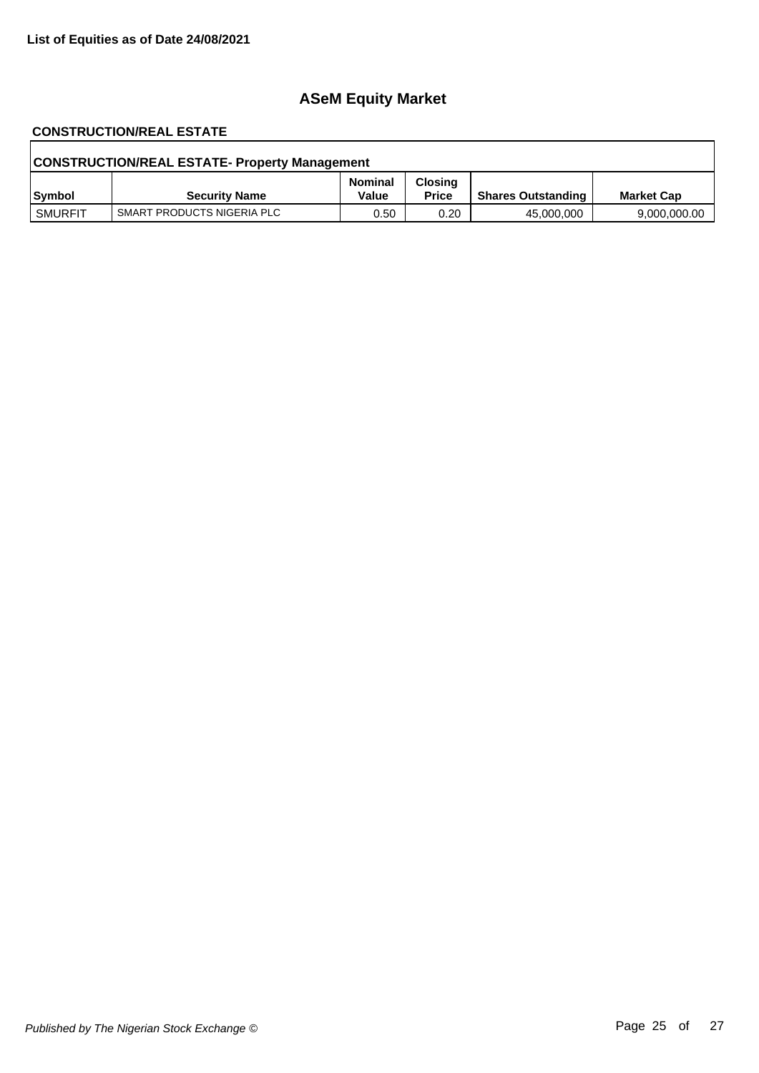# **ASeM Equity Market**

# **CONSTRUCTION/REAL ESTATE**

| <b>CONSTRUCTION/REAL ESTATE- Property Management</b> |                            |                         |                                |                           |                   |  |
|------------------------------------------------------|----------------------------|-------------------------|--------------------------------|---------------------------|-------------------|--|
| Symbol                                               | <b>Security Name</b>       | <b>Nominal</b><br>Value | <b>Closing</b><br><b>Price</b> | <b>Shares Outstanding</b> | <b>Market Cap</b> |  |
| SMURFIT                                              | SMART PRODUCTS NIGERIA PLC | 0.50                    | 0.20                           | 45,000,000                | 9,000,000.00      |  |

٦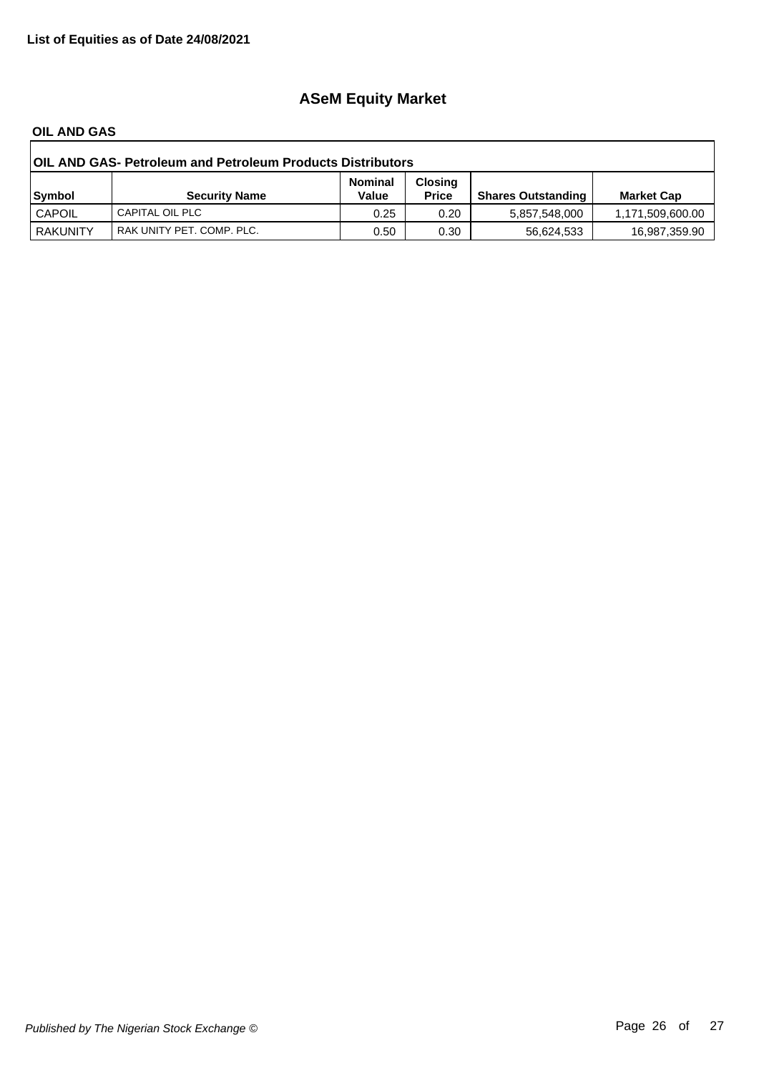# **ASeM Equity Market**

#### **OIL AND GAS**

| <b>OIL AND GAS- Petroleum and Petroleum Products Distributors</b> |                           |                         |                                |                           |                   |  |
|-------------------------------------------------------------------|---------------------------|-------------------------|--------------------------------|---------------------------|-------------------|--|
| Symbol                                                            | <b>Security Name</b>      | <b>Nominal</b><br>Value | <b>Closing</b><br><b>Price</b> | <b>Shares Outstanding</b> | <b>Market Cap</b> |  |
| <b>CAPOIL</b>                                                     | CAPITAL OIL PLC           | 0.25                    | 0.20                           | 5,857,548,000             | 1,171,509,600.00  |  |
| <b>RAKUNITY</b>                                                   | RAK UNITY PET. COMP. PLC. | 0.50                    | 0.30                           | 56.624.533                | 16,987,359.90     |  |